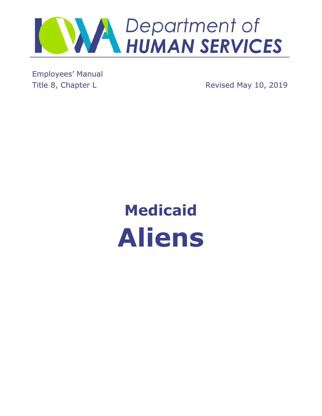

Employees' Manual

Title 8, Chapter L **Revised May 10, 2019** 

# **Medicaid Aliens**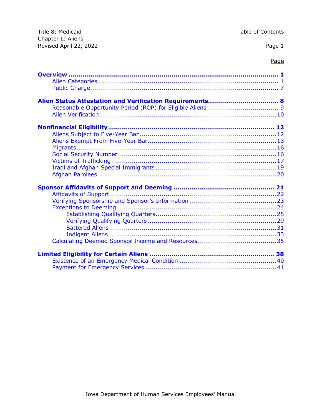| Title 8: Medicaid      | Table of Contents |
|------------------------|-------------------|
| Chapter L: Aliens      |                   |
| Revised April 22, 2022 | Page 1            |

# Page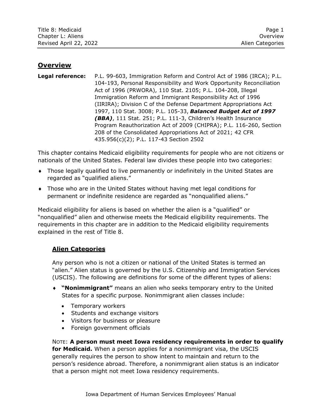## <span id="page-2-0"></span>**Overview**

**Legal reference:** P.L. 99-603, Immigration Reform and Control Act of 1986 (IRCA); P.L. 104-193, Personal Responsibility and Work Opportunity Reconciliation Act of 1996 (PRWORA), 110 Stat. 2105; P.L. 104-208, Illegal Immigration Reform and Immigrant Responsibility Act of 1996 (IIRIRA); Division C of the Defense Department Appropriations Act 1997, 110 Stat. 3008; P.L. 105-33, *Balanced Budget Act of 1997 (BBA)*, 111 Stat. 251; P.L. 111-3, Children's Health Insurance Program Reauthorization Act of 2009 (CHIPRA); P.L. 116-260, Section 208 of the Consolidated Appropriations Act of 2021; 42 CFR 435.956(c)(2); P.L. 117-43 Section 2502

This chapter contains Medicaid eligibility requirements for people who are not citizens or nationals of the United States. Federal law divides these people into two categories:

- Those legally qualified to live permanently or indefinitely in the United States are regarded as "qualified aliens."
- Those who are in the United States without having met legal conditions for permanent or indefinite residence are regarded as "nonqualified aliens."

Medicaid eligibility for aliens is based on whether the alien is a "qualified" or "nonqualified" alien and otherwise meets the Medicaid eligibility requirements. The requirements in this chapter are in addition to the Medicaid eligibility requirements explained in the rest of Title 8.

# <span id="page-2-1"></span>**Alien Categories**

Any person who is not a citizen or national of the United States is termed an "alien." Alien status is governed by the U.S. Citizenship and Immigration Services (USCIS). The following are definitions for some of the different types of aliens:

- **"Nonimmigrant"** means an alien who seeks temporary entry to the United States for a specific purpose. Nonimmigrant alien classes include:
	- Temporary workers
	- Students and exchange visitors
	- Visitors for business or pleasure
	- Foreign government officials

NOTE: **A person must meet Iowa residency requirements in order to qualify for Medicaid.** When a person applies for a nonimmigrant visa, the USCIS generally requires the person to show intent to maintain and return to the person's residence abroad. Therefore, a nonimmigrant alien status is an indicator that a person might not meet Iowa residency requirements.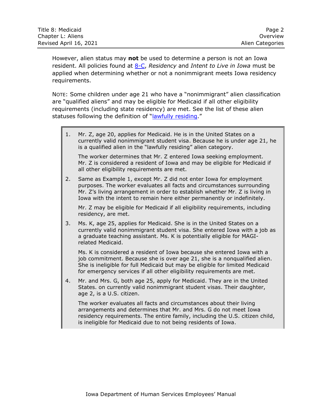| Title 8: Medicaid      | Page 2           |
|------------------------|------------------|
| Chapter L: Aliens      | Overview         |
| Revised April 16, 2021 | Alien Categories |

However, alien status may **not** be used to determine a person is not an Iowa resident. All policies found at [8-C,](http://dhs.iowa.gov/sites/default/files/8-C.pdf) *Residency* and *Intent to Live in Iowa* must be applied when determining whether or not a nonimmigrant meets Iowa residency requirements.

NOTE: Some children under age 21 who have a "nonimmigrant" alien classification are "qualified aliens" and may be eligible for Medicaid if all other eligibility requirements (including state residency) are met. See the list of these alien statuses following the definition of "[lawfully residing.](#page-5-0)"

1. Mr. Z, age 20, applies for Medicaid. He is in the United States on a currently valid nonimmigrant student visa. Because he is under age 21, he is a qualified alien in the "lawfully residing" alien category.

The worker determines that Mr. Z entered Iowa seeking employment. Mr. Z is considered a resident of Iowa and may be eligible for Medicaid if all other eligibility requirements are met.

2. Same as Example 1, except Mr. Z did not enter Iowa for employment purposes. The worker evaluates all facts and circumstances surrounding Mr. Z's living arrangement in order to establish whether Mr. Z is living in Iowa with the intent to remain here either permanently or indefinitely.

Mr. Z may be eligible for Medicaid if all eligibility requirements, including residency, are met.

3. Ms. K, age 25, applies for Medicaid. She is in the United States on a currently valid nonimmigrant student visa. She entered Iowa with a job as a graduate teaching assistant. Ms. K is potentially eligible for MAGIrelated Medicaid.

Ms. K is considered a resident of Iowa because she entered Iowa with a job commitment. Because she is over age 21, she is a nonqualified alien. She is ineligible for full Medicaid but may be eligible for limited Medicaid for emergency services if all other eligibility requirements are met.

4. Mr. and Mrs. G, both age 25, apply for Medicaid. They are in the United States. on currently valid nonimmigrant student visas. Their daughter, age 2, is a U.S. citizen.

The worker evaluates all facts and circumstances about their living arrangements and determines that Mr. and Mrs. G do not meet Iowa residency requirements. The entire family, including the U.S. citizen child, is ineligible for Medicaid due to not being residents of Iowa.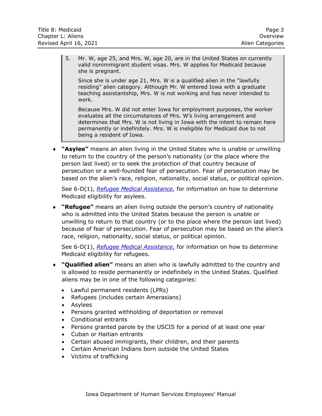5. Mr. W, age 25, and Mrs. W, age 20, are in the United States on currently valid nonimmigrant student visas. Mrs. W applies for Medicaid because she is pregnant.

Since she is under age 21, Mrs. W is a qualified alien in the "lawfully residing" alien category. Although Mr. W entered Iowa with a graduate teaching assistantship, Mrs. W is not working and has never intended to work.

Because Mrs. W did not enter Iowa for employment purposes, the worker evaluates all the circumstances of Mrs. W's living arrangement and determines that Mrs. W is not living in Iowa with the intent to remain here permanently or indefinitely. Mrs. W is ineligible for Medicaid due to not being a resident of Iowa.

 **"Asylee"** means an alien living in the United States who is unable or unwilling to return to the country of the person's nationality (or the place where the person last lived) or to seek the protection of that country because of persecution or a well-founded fear of persecution. Fear of persecution may be based on the alien's race, religion, nationality, social status, or political opinion.

See 6-D(1), *[Refugee Medical Assistance](http://dhs.iowa.gov/sites/default/files/6-D1.pdf)*, for information on how to determine Medicaid eligibility for asylees.

 **"Refugee"** means an alien living outside the person's country of nationality who is admitted into the United States because the person is unable or unwilling to return to that country (or to the place where the person last lived) because of fear of persecution. Fear of persecution may be based on the alien's race, religion, nationality, social status, or political opinion.

See 6-D(1), *[Refugee Medical Assistance](http://dhs.iowa.gov/sites/default/files/6-D1.pdf)*, for information on how to determine Medicaid eligibility for refugees.

- **"Qualified alien"** means an alien who is lawfully admitted to the country and is allowed to reside permanently or indefinitely in the United States. Qualified aliens may be in one of the following categories:
	- Lawful permanent residents (LPRs)
	- Refugees (includes certain Amerasians)
	- Asylees
	- Persons granted withholding of deportation or removal
	- Conditional entrants
	- Persons granted parole by the USCIS for a period of at least one year
	- Cuban or Haitian entrants
	- Certain abused immigrants, their children, and their parents
	- Certain American Indians born outside the United States
	- Victims of trafficking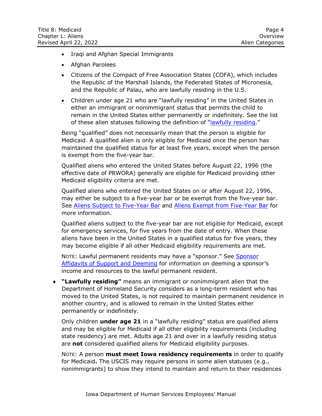- Iraqi and Afghan Special Immigrants
- Afghan Parolees
- Citizens of the Compact of Free Association States (COFA), which includes the Republic of the Marshall Islands, the Federated States of Micronesia, and the Republic of Palau, who are lawfully residing in the U.S.
- Children under age 21 who are "lawfully residing" in the United States in either an immigrant or nonimmigrant status that permits the child to remain in the United States either permanently or indefinitely. See the list of these alien statuses following the definition of "[lawfully residing](#page-5-0)."

Being "qualified" does not necessarily mean that the person is eligible for Medicaid. A qualified alien is only eligible for Medicaid once the person has maintained the qualified status for at least five years, except when the person is exempt from the five-year bar.

Qualified aliens who entered the United States before August 22, 1996 (the effective date of PRWORA) generally are eligible for Medicaid providing other Medicaid eligibility criteria are met.

Qualified aliens who entered the United States on or after August 22, 1996, may either be subject to a five-year bar or be exempt from the five-year bar. See [Aliens Subject to Five-Year Bar](#page-13-1) and [Aliens Exempt from Five-Year Bar](#page-14-0) for more information.

Qualified aliens subject to the five-year bar are not eligible for Medicaid, except for emergency services, for five years from the date of entry. When these aliens have been in the United States in a qualified status for five years, they may become eligible if all other Medicaid eligibility requirements are met.

NOTE: Lawful permanent residents may have a "sponsor." See [Sponsor](#page-22-0)  [Affidavits of Support and Deeming](#page-22-0) for information on deeming a sponsor's income and resources to the lawful permanent resident.

<span id="page-5-0"></span> **"Lawfully residing"** means an immigrant or nonimmigrant alien that the Department of Homeland Security considers as a long-term resident who has moved to the United States, is not required to maintain permanent residence in another country, and is allowed to remain in the United States either permanently or indefinitely.

Only children **under age 21** in a "lawfully residing" status are qualified aliens and may be eligible for Medicaid if all other eligibility requirements (including state residency) are met. Adults age 21 and over in a lawfully residing status are **not** considered qualified aliens for Medicaid eligibility purposes.

NOTE: A person **must meet Iowa residency requirements** in order to qualify for Medicaid**.** The USCIS may require persons in some alien statuses (e.g., nonimmigrants) to show they intend to maintain and return to their residences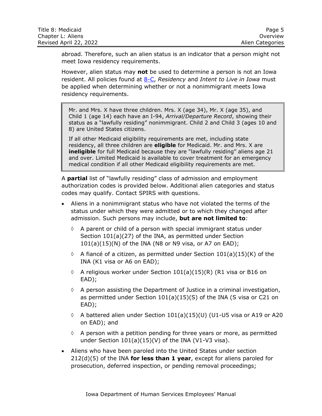| Title 8: Medicaid      | Page 5           |
|------------------------|------------------|
| Chapter L: Aliens      | Overview         |
| Revised April 22, 2022 | Alien Categories |

abroad. Therefore, such an alien status is an indicator that a person might not meet Iowa residency requirements.

However, alien status may **not** be used to determine a person is not an Iowa resident. All policies found at [8-C,](http://dhs.iowa.gov/sites/default/files/8-C.pdf) *Residency* and *Intent to Live in Iowa* must be applied when determining whether or not a nonimmigrant meets Iowa residency requirements.

Mr. and Mrs. X have three children. Mrs. X (age 34), Mr. X (age 35), and Child 1 (age 14) each have an I-94, *Arrival/Departure Record*, showing their status as a "lawfully residing" nonimmigrant. Child 2 and Child 3 (ages 10 and 8) are United States citizens.

If all other Medicaid eligibility requirements are met, including state residency, all three children are **eligible** for Medicaid. Mr. and Mrs. X are **ineligible** for full Medicaid because they are "lawfully residing" aliens age 21 and over. Limited Medicaid is available to cover treatment for an emergency medical condition if all other Medicaid eligibility requirements are met.

A **partial** list of "lawfully residing" class of admission and employment authorization codes is provided below. Additional alien categories and status codes may qualify. Contact SPIRS with questions.

- Aliens in a nonimmigrant status who have not violated the terms of the status under which they were admitted or to which they changed after admission. Such persons may include, **but are not limited to**:
	- $\Diamond$  A parent or child of a person with special immigrant status under Section 101(a)(27) of the INA, as permitted under Section  $101(a)(15)(N)$  of the INA (N8 or N9 visa, or A7 on EAD);
	- $\lozenge$  A fiancé of a citizen, as permitted under Section 101(a)(15)(K) of the INA (K1 visa or A6 on EAD);
	- $\lozenge$  A religious worker under Section 101(a)(15)(R) (R1 visa or B16 on EAD);
	- $\Diamond$  A person assisting the Department of Justice in a criminal investigation, as permitted under Section 101(a)(15)(S) of the INA (S visa or C21 on EAD);
	- $\Diamond$  A battered alien under Section 101(a)(15)(U) (U1-U5 visa or A19 or A20 on EAD); and
	- $\Diamond$  A person with a petition pending for three years or more, as permitted under Section 101(a)(15)(V) of the INA (V1-V3 visa).
- Aliens who have been paroled into the United States under section 212(d)(5) of the INA **for less than 1 year**, except for aliens paroled for prosecution, deferred inspection, or pending removal proceedings;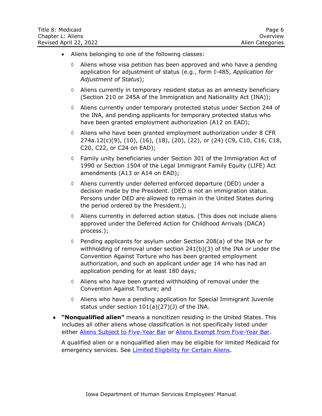| Title 8: Medicaid      | Page 6           |
|------------------------|------------------|
| Chapter L: Aliens      | Overview         |
| Revised April 22, 2022 | Alien Categories |

- Aliens belonging to one of the following classes:
	- $\Diamond$  Aliens whose visa petition has been approved and who have a pending application for adjustment of status (e.g., form I-485, *Application for Adjustment of Status*);
	- $\Diamond$  Aliens currently in temporary resident status as an amnesty beneficiary (Section 210 or 245A of the Immigration and Nationality Act (INA));
	- Aliens currently under temporary protected status under Section 244 of the INA, and pending applicants for temporary protected status who have been granted employment authorization (A12 on EAD);
	- $\Diamond$  Aliens who have been granted employment authorization under 8 CFR 274a.12(c)(9), (10), (16), (18), (20), (22), or (24) (C9, C10, C16, C18, C20, C22, or C24 on EAD);
	- $\Diamond$  Family unity beneficiaries under Section 301 of the Immigration Act of 1990 or Section 1504 of the Legal Immigrant Family Equity (LIFE) Act amendments (A13 or A14 on EAD);
	- Aliens currently under deferred enforced departure (DED) under a decision made by the President. (DED is not an immigration status. Persons under DED are allowed to remain in the United States during the period ordered by the President.);
	- $\Diamond$  Aliens currently in deferred action status. (This does not include aliens approved under the Deferred Action for Childhood Arrivals (DACA) process.);
	- $\Diamond$  Pending applicants for asylum under Section 208(a) of the INA or for withholding of removal under section 241(b)(3) of the INA or under the Convention Against Torture who has been granted employment authorization, and such an applicant under age 14 who has had an application pending for at least 180 days;
	- $\Diamond$  Aliens who have been granted withholding of removal under the Convention Against Torture; and
	- $\Diamond$  Aliens who have a pending application for Special Immigrant Juvenile status under section 101(a)(27)(J) of the INA.
- **"Nonqualified alien"** means a noncitizen residing in the United States. This includes all other aliens whose classification is not specifically listed under either [Aliens Subject to Five-Year Bar](#page-13-1) or [Aliens Exempt from Five-Year Bar.](#page-14-0)

A qualified alien or a nonqualified alien may be eligible for limited Medicaid for emergency services. See Limited Eligibility [for Certain Aliens.](#page-39-0)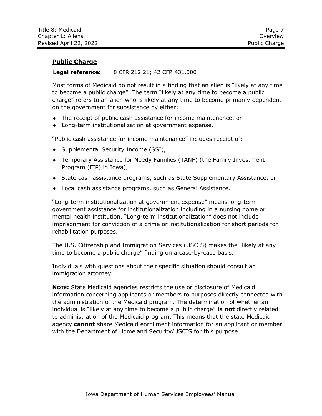# <span id="page-8-0"></span>**Public Charge**

#### **Legal reference:** 8 CFR 212.21; 42 CFR 431.300

Most forms of Medicaid do not result in a finding that an alien is "likely at any time to become a public charge". The term "likely at any time to become a public charge" refers to an alien who is likely at any time to become primarily dependent on the government for subsistence by either:

- The receipt of public cash assistance for income maintenance, or
- Long-term institutionalization at government expense.

"Public cash assistance for income maintenance" includes receipt of:

- ◆ Supplemental Security Income (SSI),
- Temporary Assistance for Needy Families (TANF) (the Family Investment Program (FIP) in Iowa),
- State cash assistance programs, such as State Supplementary Assistance, or
- Local cash assistance programs, such as General Assistance.

"Long-term institutionalization at government expense" means long-term government assistance for institutionalization including in a nursing home or mental health institution. "Long-term institutionalization" does not include imprisonment for conviction of a crime or institutionalization for short periods for rehabilitation purposes.

The U.S. Citizenship and Immigration Services (USCIS) makes the "likely at any time to become a public charge" finding on a case-by-case basis.

Individuals with questions about their specific situation should consult an immigration attorney.

**NOTE:** State Medicaid agencies restricts the use or disclosure of Medicaid information concerning applicants or members to purposes directly connected with the administration of the Medicaid program. The determination of whether an individual is "likely at any time to become a public charge" **is not** directly related to administration of the Medicaid program. This means that the state Medicaid agency **cannot** share Medicaid enrollment information for an applicant or member with the Department of Homeland Security/USCIS for this purpose.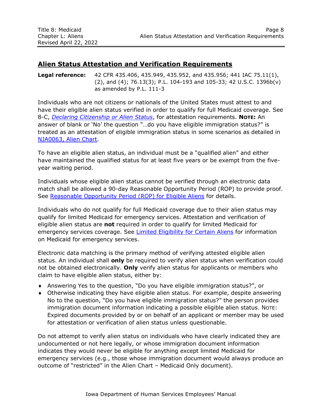# <span id="page-9-0"></span>**Alien Status Attestation and Verification Requirements**

#### **Legal reference:** 42 CFR 435.406, 435.949, 435.952, and 435.956; 441 IAC 75.11(1), (2), and (4); 76.13(3); P.L. 104-193 and 105-33; 42 U.S.C. 1396b(v) as amended by P.L. 111-3

Individuals who are not citizens or nationals of the United States must attest to and have their eligible alien status verified in order to qualify for full Medicaid coverage. See 8-C, *[Declaring Citizenship or Alien Status](http://dhs.iowa.gov/sites/default/files/8-C.pdf)*, for attestation requirements. **NOTE:** An answer of blank or 'No' the question "…do you have eligible immigration status?" is treated as an attestation of eligible immigration status in some scenarios as detailed in NJA0063, [Alien Chart.](http://dhssp/manual/JobAids/Chapter3JobAids/NJA0063_Alien_Chart.pdf)

To have an eligible alien status, an individual must be a "qualified alien" and either have maintained the qualified status for at least five years or be exempt from the fiveyear waiting period.

Individuals whose eligible alien status cannot be verified through an electronic data match shall be allowed a 90-day Reasonable Opportunity Period (ROP) to provide proof. See [Reasonable Opportunity Period \(ROP\) for Eligible Aliens](#page-10-0) for details.

Individuals who do not qualify for full Medicaid coverage due to their alien status may qualify for limited Medicaid for emergency services. Attestation and verification of eligible alien status are **not** required in order to qualify for limited Medicaid for emergency services coverage. See [Limited Eligibility for Certain Aliens](#page-39-0) for information on Medicaid for emergency services.

Electronic data matching is the primary method of verifying attested eligible alien status. An individual shall **only** be required to verify alien status when verification could not be obtained electronically. **Only** verify alien status for applicants or members who claim to have eligible alien status, either by:

- Answering Yes to the question, "Do you have eligible immigration status?", or
- Otherwise indicating they have eligible alien status. For example, despite answering No to the question, "Do you have eligible immigration status?" the person provides immigration document information indicating a possible eligible alien status. NOTE: Expired documents provided by or on behalf of an applicant or member may be used for attestation or verification of alien status unless questionable.

Do not attempt to verify alien status on individuals who have clearly indicated they are undocumented or not here legally, or whose immigration document information indicates they would never be eligible for anything except limited Medicaid for emergency services (e.g., those whose immigration document would always produce an outcome of "restricted" in the Alien Chart – Medicaid Only document).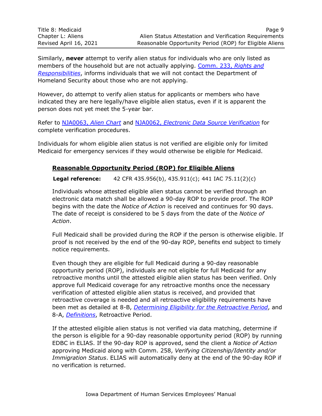Similarly, **never** attempt to verify alien status for individuals who are only listed as members of the household but are not actually applying. [Comm. 233,](http://dhs.iowa.gov/sites/default/files/Comm233.pdf) *Rights and [Responsibilities](http://dhs.iowa.gov/sites/default/files/Comm233.pdf)*, informs individuals that we will not contact the Department of Homeland Security about those who are not applying.

However, do attempt to verify alien status for applicants or members who have indicated they are here legally/have eligible alien status, even if it is apparent the person does not yet meet the 5-year bar.

Refer to NJA0063, *[Alien Chart](http://dhssp/manual/JobAids/Chapter3JobAids/NJA0063_Alien_Chart.pdf)* and NJA0062, *[Electronic Data Source Verification](http://dhssp/manual/JobAids/Chapter3JobAids/NJA0062_Electronic_Data_Source_Verification.pdf)* for complete verification procedures.

<span id="page-10-0"></span>Individuals for whom eligible alien status is not verified are eligible only for limited Medicaid for emergency services if they would otherwise be eligible for Medicaid.

# **Reasonable Opportunity Period (ROP) for Eligible Aliens**

**Legal reference:** 42 CFR 435.956(b), 435.911(c); 441 IAC 75.11(2)(c)

Individuals whose attested eligible alien status cannot be verified through an electronic data match shall be allowed a 90-day ROP to provide proof. The ROP begins with the date the *Notice of Action* is received and continues for 90 days. The date of receipt is considered to be 5 days from the date of the *Notice of Action*.

Full Medicaid shall be provided during the ROP if the person is otherwise eligible. If proof is not received by the end of the 90-day ROP, benefits end subject to timely notice requirements.

Even though they are eligible for full Medicaid during a 90-day reasonable opportunity period (ROP), individuals are not eligible for full Medicaid for any retroactive months until the attested eligible alien status has been verified. Only approve full Medicaid coverage for any retroactive months once the necessary verification of attested eligible alien status is received, and provided that retroactive coverage is needed and all retroactive eligibility requirements have been met as detailed at 8-B, *[Determining Eligibility for the Retroactive Period](http://dhs.iowa.gov/sites/default/files/8-B.pdf)*, and 8-A, *[Definitions](http://dhs.iowa.gov/sites/default/files/8-A.pdf)*, Retroactive Period.

If the attested eligible alien status is not verified via data matching, determine if the person is eligible for a 90-day reasonable opportunity period (ROP) by running EDBC in ELIAS. If the 90-day ROP is approved, send the client a *Notice of Action* approving Medicaid along with Comm. 258, *Verifying Citizenship/Identity and/or Immigration Status*. ELIAS will automatically deny at the end of the 90-day ROP if no verification is returned.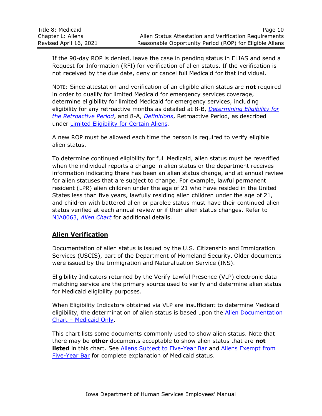If the 90-day ROP is denied, leave the case in pending status in ELIAS and send a Request for Information (RFI) for verification of alien status. If the verification is not received by the due date, deny or cancel full Medicaid for that individual.

NOTE: Since attestation and verification of an eligible alien status are **not** required in order to qualify for limited Medicaid for emergency services coverage, determine eligibility for limited Medicaid for emergency services, including eligibility for any retroactive months as detailed at 8-B, *[Determining Eligibility for](http://dhs.iowa.gov/sites/default/files/8-B.pdf) [the Retroactive Period](http://dhs.iowa.gov/sites/default/files/8-B.pdf)*, and 8-A, *[Definitions](http://dhs.iowa.gov/sites/default/files/8-A.pdf)*, Retroactive Period, as described under [Limited Eligibility for Certain Aliens](#page-39-0).

A new ROP must be allowed each time the person is required to verify eligible alien status.

To determine continued eligibility for full Medicaid, alien status must be reverified when the individual reports a change in alien status or the department receives information indicating there has been an alien status change, and at annual review for alien statuses that are subject to change. For example, lawful permanent resident (LPR) alien children under the age of 21 who have resided in the United States less than five years, lawfully residing alien children under the age of 21, and children with battered alien or parolee status must have their continued alien status verified at each annual review or if their alien status changes. Refer to NJA0063, *[Alien Chart](http://dhssp/manual/JobAids/Chapter3JobAids/NJA0063_Alien_Chart.pdf)* for additional details.

# <span id="page-11-0"></span>**Alien Verification**

Documentation of alien status is issued by the U.S. Citizenship and Immigration Services (USCIS), part of the Department of Homeland Security. Older documents were issued by the Immigration and Naturalization Service (INS).

Eligibility Indicators returned by the Verify Lawful Presence (VLP) electronic data matching service are the primary source used to verify and determine alien status for Medicaid eligibility purposes.

When Eligibility Indicators obtained via VLP are insufficient to determine Medicaid eligibility, the determination of alien status is based upon the Alien Documentation Chart – [Medicaid Only.](http://dhssp/manual/subsite/Chapter3References/Alien%20Chart%20-%20Medicaid%20Only.xlsx)

This chart lists some documents commonly used to show alien status. Note that there may be **other** documents acceptable to show alien status that are **not listed** in this chart. See [Aliens Subject to Five-Year Bar](#page-13-1) and [Aliens Exempt from](#page-14-0) [Five-Year](#page-14-0) Bar for complete explanation of Medicaid status.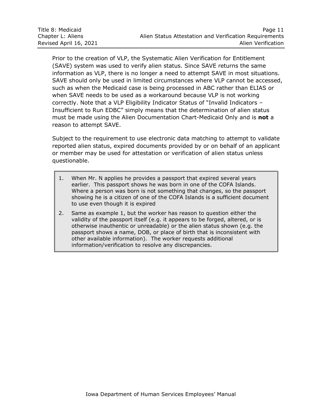Prior to the creation of VLP, the Systematic Alien Verification for Entitlement (SAVE) system was used to verify alien status. Since SAVE returns the same information as VLP, there is no longer a need to attempt SAVE in most situations. SAVE should only be used in limited circumstances where VLP cannot be accessed, such as when the Medicaid case is being processed in ABC rather than ELIAS or when SAVE needs to be used as a workaround because VLP is not working correctly. Note that a VLP Eligibility Indicator Status of "Invalid Indicators – Insufficient to Run EDBC" simply means that the determination of alien status must be made using the Alien Documentation Chart-Medicaid Only and is **not** a reason to attempt SAVE.

Subject to the requirement to use electronic data matching to attempt to validate reported alien status, expired documents provided by or on behalf of an applicant or member may be used for attestation or verification of alien status unless questionable.

- 1. When Mr. N applies he provides a passport that expired several years earlier. This passport shows he was born in one of the COFA Islands. Where a person was born is not something that changes, so the passport showing he is a citizen of one of the COFA Islands is a sufficient document to use even though it is expired
- 2. Same as example 1, but the worker has reason to question either the validity of the passport itself (e.g. it appears to be forged, altered, or is otherwise inauthentic or unreadable) or the alien status shown (e.g. the passport shows a name, DOB, or place of birth that is inconsistent with other available information). The worker requests additional information/verification to resolve any discrepancies.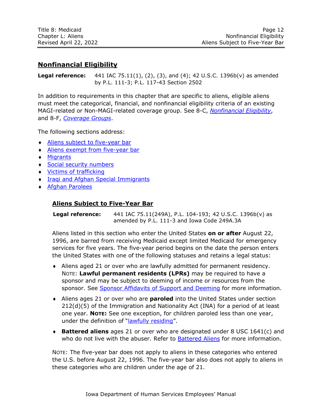# <span id="page-13-0"></span>**Nonfinancial Eligibility**

**Legal reference:** 441 IAC 75.11(1), (2), (3), and (4); 42 U.S.C. 1396b(v) as amended by P.L. 111-3; P.L. 117-43 Section 2502

In addition to requirements in this chapter that are specific to aliens, eligible aliens must meet the categorical, financial, and nonfinancial eligibility criteria of an existing MAGI-related or Non-MAGI-related coverage group. See 8-C, *[Nonfinancial Eligibility](http://dhs.iowa.gov/sites/default/files/8-C.pdf)*, and 8-F, *[Coverage Groups](http://dhs.iowa.gov/sites/default/files/8-F.pdf)*.

The following sections address:

- Aliens [subject to five-year bar](#page-13-1)
- [Aliens exempt from five-year bar](#page-14-0)
- [Migrants](#page-16-0)
- ◆ [Social security numbers](#page-17-1)
- ◆ [Victims of trafficking](#page-18-0)
- **[Iraqi and Afghan Special Immigrants](#page-20-0)**
- <span id="page-13-1"></span>[Afghan Parolees](#page-21-0)

#### **Aliens Subject to Five-Year Bar**

**Legal reference:** 441 IAC 75.11(249A), P.L. 104-193; 42 U.S.C. 1396b(v) as amended by P.L. 111-3 and Iowa Code 249A.3A

Aliens listed in this section who enter the United States **on or after** August 22, 1996, are barred from receiving Medicaid except limited Medicaid for emergency services for five years. The five-year period begins on the date the person enters the United States with one of the following statuses and retains a legal status:

- Aliens aged 21 or over who are lawfully admitted for permanent residency. NOTE: **Lawful permanent residents (LPRs)** may be required to have a sponsor and may be subject to deeming of income or resources from the sponsor. See [Sponsor Affidavits of Support and Deeming](#page-22-0) for more information.
- Aliens ages 21 or over who are **paroled** into the United States under section 212(d)(5) of the Immigration and Nationality Act (INA) for a period of at least one year. **NOTE:** See one exception, for children paroled less than one year, under the definition of "[lawfully residing](#page-5-0)".
- **Battered aliens** ages 21 or over who are designated under 8 USC 1641(c) and who do not live with the abuser. Refer to [Battered Aliens](#page-32-0) for more information.

NOTE: The five-year bar does not apply to aliens in these categories who entered the U.S. before August 22, 1996. The five-year bar also does not apply to aliens in these categories who are children under the age of 21.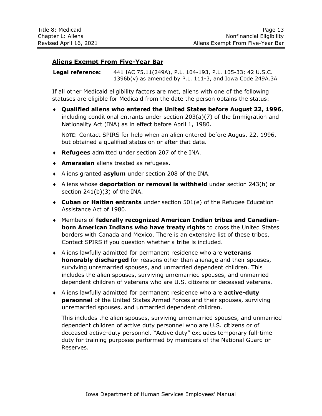# <span id="page-14-0"></span>**Aliens Exempt From Five-Year Bar**

**Legal reference:** 441 IAC 75.11(249A), P.L. 104-193, P.L. 105-33; 42 U.S.C. 1396b(v) as amended by P.L. 111-3, and Iowa Code 249A.3A

If all other Medicaid eligibility factors are met, aliens with one of the following statuses are eligible for Medicaid from the date the person obtains the status:

 **Qualified aliens who entered the United States before August 22, 1996**, including conditional entrants under section 203(a)(7) of the Immigration and Nationality Act (INA) as in effect before April 1, 1980.

NOTE: Contact SPIRS for help when an alien entered before August 22, 1996, but obtained a qualified status on or after that date.

- **Refugees** admitted under section 207 of the INA.
- **Amerasian** aliens treated as refugees.
- Aliens granted **asylum** under section 208 of the INA.
- Aliens whose **deportation or removal is withheld** under section 243(h) or section 241(b)(3) of the INA.
- **Cuban or Haitian entrants** under section 501(e) of the Refugee Education Assistance Act of 1980.
- Members of **federally recognized American Indian tribes and Canadianborn American Indians who have treaty rights** to cross the United States borders with Canada and Mexico. There is an extensive list of these tribes. Contact SPIRS if you question whether a tribe is included.
- Aliens lawfully admitted for permanent residence who are **veterans honorably discharged** for reasons other than alienage and their spouses, surviving unremarried spouses, and unmarried dependent children. This includes the alien spouses, surviving unremarried spouses, and unmarried dependent children of veterans who are U.S. citizens or deceased veterans.
- Aliens lawfully admitted for permanent residence who are **active-duty personnel** of the United States Armed Forces and their spouses, surviving unremarried spouses, and unmarried dependent children.

This includes the alien spouses, surviving unremarried spouses, and unmarried dependent children of active duty personnel who are U.S. citizens or of deceased active-duty personnel. "Active duty" excludes temporary full-time duty for training purposes performed by members of the National Guard or Reserves.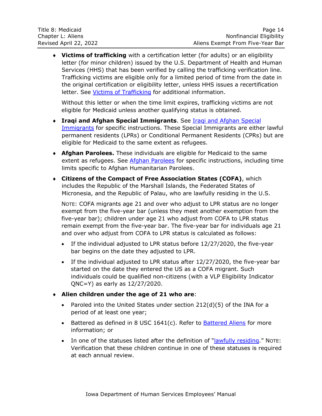**Victims of trafficking** with a certification letter (for adults) or an eligibility letter (for minor children) issued by the U.S. Department of Health and Human Services (HHS) that has been verified by calling the trafficking verification line. Trafficking victims are eligible only for a limited period of time from the date in the original certification or eligibility letter, unless HHS issues a recertification letter. See [Victims of Trafficking](#page-18-0) for additional information.

Without this letter or when the time limit expires, trafficking victims are not eligible for Medicaid unless another qualifying status is obtained.

- **Iraqi and Afghan Special Immigrants**. See [Iraqi and Afghan Special](#page-20-0)  [Immigrants](#page-20-0) for specific instructions. These Special Immigrants are either lawful permanent residents (LPRs) or Conditional Permanent Residents (CPRs) but are eligible for Medicaid to the same extent as refugees.
- **Afghan Parolees.** These individuals are eligible for Medicaid to the same extent as refugees. See Afghan [Parolees](#page-21-0) for specific instructions, including time limits specific to Afghan Humanitarian Parolees.
- **Citizens of the Compact of Free Association States (COFA)**, which includes the Republic of the Marshall Islands, the Federated States of Micronesia, and the Republic of Palau, who are lawfully residing in the U.S.

NOTE: COFA migrants age 21 and over who adjust to LPR status are no longer exempt from the five-year bar (unless they meet another exemption from the five-year bar); children under age 21 who adjust from COFA to LPR status remain exempt from the five-year bar. The five-year bar for individuals age 21 and over who adjust from COFA to LPR status is calculated as follows:

- If the individual adjusted to LPR status before 12/27/2020, the five-year bar begins on the date they adjusted to LPR.
- If the individual adjusted to LPR status after 12/27/2020, the five-year bar started on the date they entered the US as a COFA migrant. Such individuals could be qualified non-citizens (with a VLP Eligibility Indicator QNC=Y) as early as 12/27/2020.
- **Alien children under the age of 21 who are**:
	- Paroled into the United States under section 212(d)(5) of the INA for a period of at least one year;
	- Battered as defined in 8 USC 1641(c). Refer to **Battered Aliens** for more information; or
	- In one of the statuses listed after the definition of "[lawfully residing](#page-5-0)." NOTE: Verification that these children continue in one of these statuses is required at each annual review.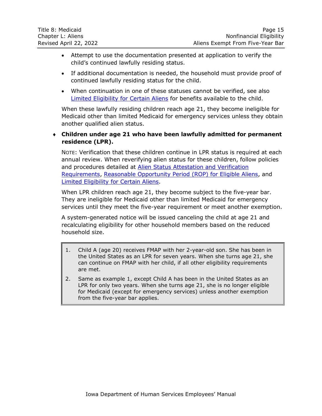- Attempt to use the documentation presented at application to verify the child's continued lawfully residing status.
- If additional documentation is needed, the household must provide proof of continued lawfully residing status for the child.
- When continuation in one of these statuses cannot be verified, see also [Limited Eligibility for Certain Aliens](#page-39-0) for benefits available to the child.

When these lawfully residing children reach age 21, they become ineligible for Medicaid other than limited Medicaid for emergency services unless they obtain another qualified alien status.

## **Children under age 21 who have been lawfully admitted for permanent residence (LPR).**

NOTE: Verification that these children continue in LPR status is required at each annual review. When reverifying alien status for these children, follow policies and procedures detailed at Alien Status [Attestation and](#page-9-0) Verification [Requirements,](#page-9-0) [Reasonable Opportunity Period \(ROP\) for](#page-10-0) Eligible Aliens, and Limited [Eligibility for Certain Aliens.](#page-39-0)

When LPR children reach age 21, they become subject to the five-year bar. They are ineligible for Medicaid other than limited Medicaid for emergency services until they meet the five-year requirement or meet another exemption.

A system-generated notice will be issued canceling the child at age 21 and recalculating eligibility for other household members based on the reduced household size.

- 1. Child A (age 20) receives FMAP with her 2-year-old son. She has been in the United States as an LPR for seven years. When she turns age 21, she can continue on FMAP with her child, if all other eligibility requirements are met.
- <span id="page-16-0"></span>2. Same as example 1, except Child A has been in the United States as an LPR for only two years. When she turns age 21, she is no longer eligible for Medicaid (except for emergency services) unless another exemption from the five-year bar applies.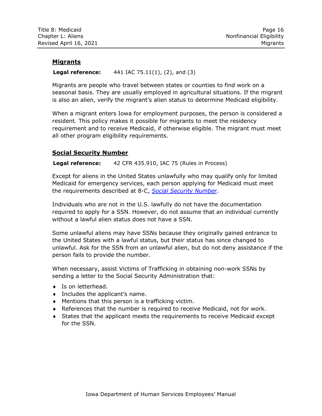#### <span id="page-17-0"></span>**Migrants**

#### **Legal reference:** 441 IAC 75.11(1), (2), and (3)

Migrants are people who travel between states or counties to find work on a seasonal basis. They are usually employed in agricultural situations. If the migrant is also an alien, verify the migrant's alien status to determine Medicaid eligibility.

When a migrant enters Iowa for employment purposes, the person is considered a resident. This policy makes it possible for migrants to meet the residency requirement and to receive Medicaid, if otherwise eligible. The migrant must meet all other program eligibility requirements.

#### <span id="page-17-1"></span>**Social Security Number**

#### **Legal reference:** 42 CFR 435.910, IAC 75 (Rules in Process)

Except for aliens in the United States unlawfully who may qualify only for limited Medicaid for emergency services, each person applying for Medicaid must meet the requirements described at 8-C, *[Social Security Number](http://dhs.iowa.gov/sites/default/files/8-C.pdf)*.

Individuals who are not in the U.S. lawfully do not have the documentation required to apply for a SSN. However, do not assume that an individual currently without a lawful alien status does not have a SSN.

Some unlawful aliens may have SSNs because they originally gained entrance to the United States with a lawful status, but their status has since changed to unlawful. Ask for the SSN from an unlawful alien, but do not deny assistance if the person fails to provide the number.

When necessary, assist Victims of Trafficking in obtaining non-work SSNs by sending a letter to the Social Security Administration that:

- ◆ Is on letterhead.
- Includes the applicant's name.
- Mentions that this person is a trafficking victim.
- References that the number is required to receive Medicaid, not for work.
- States that the applicant meets the requirements to receive Medicaid except for the SSN.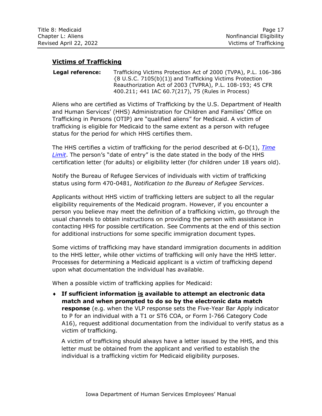| Title 8: Medicaid      | Page 17                  |
|------------------------|--------------------------|
| Chapter L: Aliens      | Nonfinancial Eligibility |
| Revised April 22, 2022 | Victims of Trafficking   |

# <span id="page-18-0"></span>**Victims of Trafficking**

**Legal reference:** Trafficking Victims Protection Act of 2000 (TVPA), P.L. 106-386 {8 U.S.C. 7105(b)(1)} and Trafficking Victims Protection Reauthorization Act of 2003 (TVPRA), P.L. 108-193; 45 CFR 400.211; 441 IAC 60.7(217), 75 (Rules in Process)

Aliens who are certified as Victims of Trafficking by the U.S. Department of Health and Human Services' (HHS) Administration for Children and Families' Office on Trafficking in Persons (OTIP) are "qualified aliens" for Medicaid. A victim of trafficking is eligible for Medicaid to the same extent as a person with refugee status for the period for which HHS certifies them.

The HHS certifies a victim of trafficking for the period described at 6-D(1), *[Time](http://dhs.iowa.gov/sites/default/files/6-D1.pdf)  [Limit](http://dhs.iowa.gov/sites/default/files/6-D1.pdf)*. The person's "date of entry" is the date stated in the body of the HHS certification letter (for adults) or eligibility letter (for children under 18 years old).

Notify the Bureau of Refugee Services of individuals with victim of trafficking status using form 470-0481, *Notification to the Bureau of Refugee Services*.

Applicants without HHS victim of trafficking letters are subject to all the regular eligibility requirements of the Medicaid program. However, if you encounter a person you believe may meet the definition of a trafficking victim, go through the usual channels to obtain instructions on providing the person with assistance in contacting HHS for possible certification. See Comments at the end of this section for additional instructions for some specific immigration document types.

Some victims of trafficking may have standard immigration documents in addition to the HHS letter, while other victims of trafficking will only have the HHS letter. Processes for determining a Medicaid applicant is a victim of trafficking depend upon what documentation the individual has available.

When a possible victim of trafficking applies for Medicaid:

 **If sufficient information is available to attempt an electronic data match and when prompted to do so by the electronic data match response** (e.g. when the VLP response sets the Five-Year Bar Apply indicator to P for an individual with a T1 or ST6 COA, or Form I-766 Category Code A16), request additional documentation from the individual to verify status as a victim of trafficking.

A victim of trafficking should always have a letter issued by the HHS, and this letter must be obtained from the applicant and verified to establish the individual is a trafficking victim for Medicaid eligibility purposes.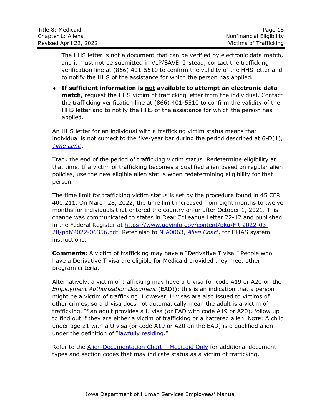| Title 8: Medicaid      | Page 18                  |
|------------------------|--------------------------|
| Chapter L: Aliens      | Nonfinancial Eligibility |
| Revised April 22, 2022 | Victims of Trafficking   |

The HHS letter is not a document that can be verified by electronic data match, and it must not be submitted in VLP/SAVE. Instead, contact the trafficking verification line at (866) 401-5510 to confirm the validity of the HHS letter and to notify the HHS of the assistance for which the person has applied.

 **If sufficient information is not available to attempt an electronic data match,** request the HHS victim of trafficking letter from the individual. Contact the trafficking verification line at (866) 401-5510 to confirm the validity of the HHS letter and to notify the HHS of the assistance for which the person has applied.

An HHS letter for an individual with a trafficking victim status means that individual is not subject to the five-year bar during the period described at 6-D(1), *[Time Limit](http://dhs.iowa.gov/sites/default/files/6-D1.pdf)*.

Track the end of the period of trafficking victim status. Redetermine eligibility at that time. If a victim of trafficking becomes a qualified alien based on regular alien policies, use the new eligible alien status when redetermining eligibility for that person.

The time limit for trafficking victim status is set by the procedure found in 45 CFR 400.211. On March 28, 2022, the time limit increased from eight months to twelve months for individuals that entered the country on or after October 1, 2021. This change was communicated to states in Dear Colleague Letter 22-12 and published in the Federal Register at [https://www.govinfo.gov/content/pkg/FR-2022-03-](https://www.govinfo.gov/content/pkg/FR-2022-03-28/pdf/2022-06356.pdf) [28/pdf/2022-06356.pdf.](https://www.govinfo.gov/content/pkg/FR-2022-03-28/pdf/2022-06356.pdf) Refer also to NJA0063, *[Alien Chart](http://dhssp/manual/JobAids/Chapter3JobAids/NJA0063_Alien_Chart.pdf)*, for ELIAS system instructions.

**Comments:** A victim of trafficking may have a "Derivative T visa." People who have a Derivative T visa are eligible for Medicaid provided they meet other program criteria.

Alternatively, a victim of trafficking may have a U visa (or code A19 or A20 on the *Employment Authorization Document* (EAD)); this is an indication that a person might be a victim of trafficking. However, U visas are also issued to victims of other crimes, so a U visa does not automatically mean the adult is a victim of trafficking. If an adult provides a U visa (or EAD with code A19 or A20), follow up to find out if they are either a victim of trafficking or a battered alien. NOTE: A child under age 21 with a U visa (or code A19 or A20 on the EAD) is a qualified alien under the definition of "lawfully [residing](#page-5-0)."

Refer to the [Alien Documentation Chart](http://dhssp/manual/subsite/Chapter3References/Alien%20Chart%20-%20Medicaid%20Only.xlsx) – Medicaid Only for additional document types and section codes that may indicate status as a victim of trafficking.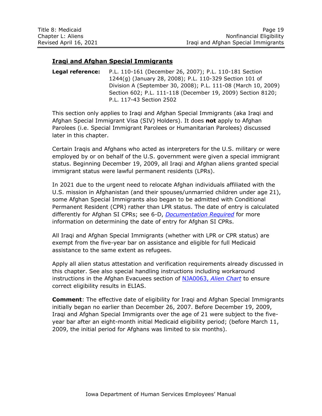### <span id="page-20-0"></span>**Iraqi and Afghan Special Immigrants**

**Legal reference:** P.L. 110-161 (December 26, 2007); P.L. 110-181 Section 1244(g) (January 28, 2008); P.L. 110-329 Section 101 of Division A (September 30, 2008); P.L. 111-08 (March 10, 2009) Section 602; P.L. 111-118 (December 19, 2009) Section 8120; P.L. 117-43 Section 2502

This section only applies to Iraqi and Afghan Special Immigrants (aka Iraqi and Afghan Special Immigrant Visa (SIV) Holders). It does **not** apply to Afghan Parolees (i.e. Special Immigrant Parolees or Humanitarian Parolees) discussed later in this chapter.

Certain Iraqis and Afghans who acted as interpreters for the U.S. military or were employed by or on behalf of the U.S. government were given a special immigrant status. Beginning December 19, 2009, all Iraqi and Afghan aliens granted special immigrant status were lawful permanent residents (LPRs).

In 2021 due to the urgent need to relocate Afghan individuals affiliated with the U.S. mission in Afghanistan (and their spouses/unmarried children under age 21), some Afghan Special Immigrants also began to be admitted with Conditional Permanent Resident (CPR) rather than LPR status. The date of entry is calculated differently for Afghan SI CPRs; see 6-D, *[Documentation Required](http://dhs.iowa.gov/sites/default/files/6-D.pdf)* for more information on determining the date of entry for Afghan SI CPRs.

All Iraqi and Afghan Special Immigrants (whether with LPR or CPR status) are exempt from the five-year bar on assistance and eligible for full Medicaid assistance to the same extent as refugees.

Apply all alien status attestation and verification requirements already discussed in this chapter. See also special handling instructions including workaround instructions in the Afghan Evacuees section of NJA0063, *[Alien Chart](http://dhssp/manual/JobAids/Chapter3JobAids/NJA0063_Alien_Chart.pdf)* to ensure correct eligibility results in ELIAS.

**Comment**: The effective date of eligibility for Iraqi and Afghan Special Immigrants initially began no earlier than December 26, 2007. Before December 19, 2009, Iraqi and Afghan Special Immigrants over the age of 21 were subject to the fiveyear bar after an eight-month initial Medicaid eligibility period; (before March 11, 2009, the initial period for Afghans was limited to six months).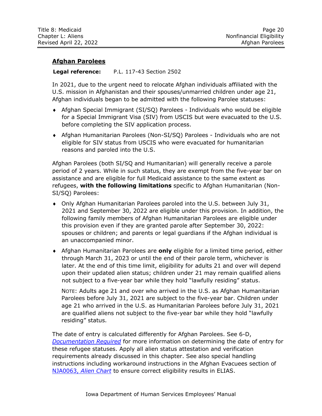#### <span id="page-21-0"></span>**Afghan Parolees**

#### **Legal reference:** P.L. 117-43 Section 2502

In 2021, due to the urgent need to relocate Afghan individuals affiliated with the U.S. mission in Afghanistan and their spouses/unmarried children under age 21, Afghan individuals began to be admitted with the following Parolee statuses:

- Afghan Special Immigrant (SI/SQ) Parolees Individuals who would be eligible for a Special Immigrant Visa (SIV) from USCIS but were evacuated to the U.S. before completing the SIV application process.
- Afghan Humanitarian Parolees (Non-SI/SQ) Parolees Individuals who are not eligible for SIV status from USCIS who were evacuated for humanitarian reasons and paroled into the U.S.

Afghan Parolees (both SI/SQ and Humanitarian) will generally receive a parole period of 2 years. While in such status, they are exempt from the five-year bar on assistance and are eligible for full Medicaid assistance to the same extent as refugees, **with the following limitations** specific to Afghan Humanitarian (Non-SI/SQ) Parolees:

- Only Afghan Humanitarian Parolees paroled into the U.S. between July 31, 2021 and September 30, 2022 are eligible under this provision. In addition, the following family members of Afghan Humanitarian Parolees are eligible under this provision even if they are granted parole after September 30, 2022: spouses or children; and parents or legal guardians if the Afghan individual is an unaccompanied minor.
- Afghan Humanitarian Parolees are **only** eligible for a limited time period, either through March 31, 2023 or until the end of their parole term, whichever is later. At the end of this time limit, eligibility for adults 21 and over will depend upon their updated alien status; children under 21 may remain qualified aliens not subject to a five-year bar while they hold "lawfully residing" status.

NOTE: Adults age 21 and over who arrived in the U.S. as Afghan Humanitarian Parolees before July 31, 2021 are subject to the five-year bar. Children under age 21 who arrived in the U.S. as Humanitarian Parolees before July 31, 2021 are qualified aliens not subject to the five-year bar while they hold "lawfully residing" status.

The date of entry is calculated differently for Afghan Parolees. See 6-D, *[Documentation Required](http://dhs.iowa.gov/sites/default/files/6-D.pdf)* for more information on determining the date of entry for these refugee statuses. Apply all alien status attestation and verification requirements already discussed in this chapter. See also special handling instructions including workaround instructions in the Afghan Evacuees section of NJA0063, *[Alien Chart](http://dhssp/manual/JobAids/Chapter3JobAids/NJA0063_Alien_Chart.pdf)* to ensure correct eligibility results in ELIAS.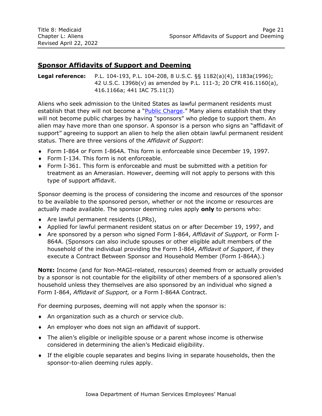# <span id="page-22-0"></span>**Sponsor Affidavits of Support and Deeming**

**Legal reference:** P.L. 104-193, P.L. 104-208, 8 U.S.C. §§ 1182(a)(4), 1183a(1996); 42 U.S.C. 1396b(v) as amended by P.L. 111-3; 20 CFR 416.1160(a), 416.1166a; 441 IAC 75.11(3)

Aliens who seek admission to the United States as lawful permanent residents must establish that they will not become a "[Public Charge](#page-8-0)." Many aliens establish that they will not become public charges by having "sponsors" who pledge to support them. An alien may have more than one sponsor. A sponsor is a person who signs an "affidavit of support" agreeing to support an alien to help the alien obtain lawful permanent resident status. There are three versions of the *Affidavit of Support*:

- Form I-864 or Form I-864A. This form is enforceable since December 19, 1997.
- ◆ Form I-134. This form is not enforceable.
- Form I-361. This form is enforceable and must be submitted with a petition for treatment as an Amerasian. However, deeming will not apply to persons with this type of support affidavit.

Sponsor deeming is the process of considering the income and resources of the sponsor to be available to the sponsored person, whether or not the income or resources are actually made available. The sponsor deeming rules apply **only** to persons who:

- Are lawful permanent residents (LPRs),
- Applied for lawful permanent resident status on or after December 19, 1997, and
- Are sponsored by a person who signed Form I-864, *Affidavit of Support,* or Form I-864A. (Sponsors can also include spouses or other eligible adult members of the household of the individual providing the Form I-864, *Affidavit of Support*, if they execute a Contract Between Sponsor and Household Member (Form I-864A).)

**NOTE:** Income (and for Non-MAGI-related, resources) deemed from or actually provided by a sponsor is not countable for the eligibility of other members of a sponsored alien's household unless they themselves are also sponsored by an individual who signed a Form I-864, *Affidavit of Support,* or a Form I-864A Contract.

For deeming purposes, deeming will not apply when the sponsor is:

- An organization such as a church or service club.
- An employer who does not sign an affidavit of support.
- The alien's eligible or ineligible spouse or a parent whose income is otherwise considered in determining the alien's Medicaid eligibility.
- If the eligible couple separates and begins living in separate households, then the sponsor-to-alien deeming rules apply.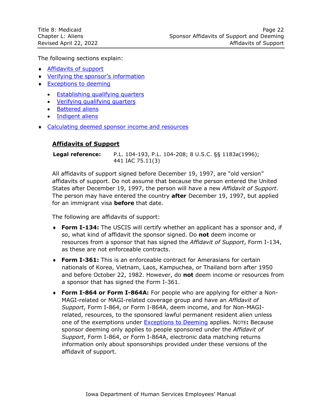The following sections explain:

- [Affidavits of support](#page-23-0)
- Verifyin[g the sponsor's information](#page-24-0)
- **[Exceptions to deeming](#page-25-0)** 
	- [Establishing qualifying quarters](#page-26-0)
	- [Verifying qualifying quarters](#page-30-0)
	- [Battered aliens](#page-32-0)
	- [Indigent aliens](#page-34-0)
- <span id="page-23-0"></span>**Ealculating deemed sponsor income and resources**

# **Affidavits of Support**

**Legal reference:** P.L. 104-193, P.L. 104-208; 8 U.S.C. §§ 1183a(1996); 441 IAC 75.11(3)

All affidavits of support signed before December 19, 1997, are "old version" affidavits of support. Do not assume that because the person entered the United States after December 19, 1997, the person will have a new *Affidavit of Support*. The person may have entered the country **after** December 19, 1997, but applied for an immigrant visa **before** that date.

The following are affidavits of support:

- **Form I-134:** The USCIS will certify whether an applicant has a sponsor and, if so, what kind of affidavit the sponsor signed. Do **not** deem income or resources from a sponsor that has signed the *Affidavit of Support*, Form I-134, as these are not enforceable contracts.
- **Form I-361:** This is an enforceable contract for Amerasians for certain nationals of Korea, Vietnam, Laos, Kampuchea, or Thailand born after 1950 and before October 22, 1982. However, do **not** deem income or resources from a sponsor that has signed the Form I-361.
- **Form I-864 or Form I-864A:** For people who are applying for either a Non-MAGI-related or MAGI-related coverage group and have an *Affidavit of Support*, Form I-864, or Form I-864A, deem income, and for Non-MAGIrelated, resources, to the sponsored lawful permanent resident alien unless one of the exemptions under [Exceptions to Deeming](#page-25-0) applies. NOTE**:** Because sponsor deeming only applies to people sponsored under the *Affidavit of Support*, Form I-864, or Form I-864A, electronic data matching returns information only about sponsorships provided under these versions of the affidavit of support.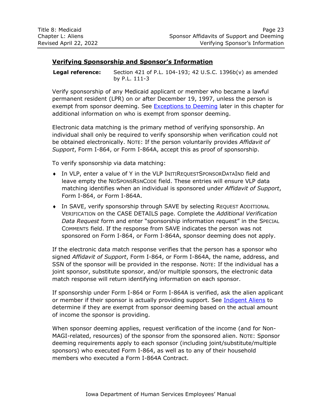# <span id="page-24-0"></span>**Verifying Sponsorship and Sponsor's Information**

**Legal reference:** Section 421 of P.L. 104-193; 42 U.S.C. 1396b(v) as amended by P.L. 111-3

Verify sponsorship of any Medicaid applicant or member who became a lawful permanent resident (LPR) on or after December 19, 1997, unless the person is exempt from sponsor deeming. See **Exceptions to Deeming later in this chapter for** additional information on who is exempt from sponsor deeming.

Electronic data matching is the primary method of verifying sponsorship. An individual shall only be required to verify sponsorship when verification could not be obtained electronically. NOTE: If the person voluntarily provides *Affidavit of Support*, Form I-864, or Form I-864A, accept this as proof of sponsorship.

To verify sponsorship via data matching:

- In VLP, enter a value of Y in the VLP INITIREQUESTSPONSORDATAIND field and leave empty the NOSPONSRSNCODE field. These entries will ensure VLP data matching identifies when an individual is sponsored under *Affidavit of Support*, Form I-864, or Form I-864A.
- In SAVE, verify sponsorship through SAVE by selecting REQUEST ADDITIONAL VERIFICATION on the CASE DETAILS page. Complete the *Additional Verification Data Request* form and enter "sponsorship information request" in the SPECIAL COMMENTS field. If the response from SAVE indicates the person was not sponsored on Form I-864, or Form I-864A, sponsor deeming does not apply.

If the electronic data match response verifies that the person has a sponsor who signed *Affidavit of Support*, Form I-864, or Form I-864A, the name, address, and SSN of the sponsor will be provided in the response. NOTE: If the individual has a joint sponsor, substitute sponsor, and/or multiple sponsors, the electronic data match response will return identifying information on each sponsor.

If sponsorship under Form I-864 or Form I-864A is verified, ask the alien applicant or member if their sponsor is actually providing support. See [Indigent Aliens](#page-34-0) to determine if they are exempt from sponsor deeming based on the actual amount of income the sponsor is providing.

When sponsor deeming applies, request verification of the income (and for Non-MAGI-related, resources) of the sponsor from the sponsored alien. NOTE: Sponsor deeming requirements apply to each sponsor (including joint/substitute/multiple sponsors) who executed Form I-864, as well as to any of their household members who executed a Form I-864A Contract.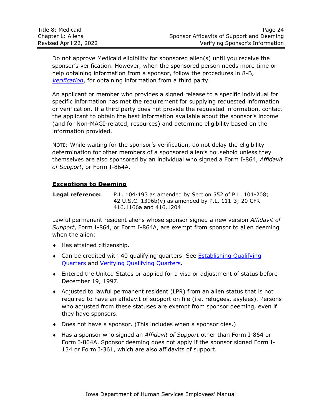Do not approve Medicaid eligibility for sponsored alien(s) until you receive the sponsor's verification. However, when the sponsored person needs more time or help obtaining information from a sponsor, follow the procedures in 8-B, *[Verification](http://dhs.iowa.gov/sites/default/files/8-B.pdf)*, for obtaining information from a third party.

An applicant or member who provides a signed release to a specific individual for specific information has met the requirement for supplying requested information or verification. If a third party does not provide the requested information, contact the applicant to obtain the best information available about the sponsor's income (and for Non-MAGI-related, resources) and determine eligibility based on the information provided.

NOTE: While waiting for the sponsor's verification, do not delay the eligibility determination for other members of a sponsored alien's household unless they themselves are also sponsored by an individual who signed a Form I-864, *Affidavit of Support*, or Form I-864A.

# <span id="page-25-0"></span>**Exceptions to Deeming**

**Legal reference:** P.L. 104-193 as amended by Section 552 of P.L. 104-208; 42 U.S.C. 1396b(v) as amended by P.L. 111-3; 20 CFR 416.1166a and 416.1204

Lawful permanent resident aliens whose sponsor signed a new version *Affidavit of Support*, Form I-864, or Form I-864A, are exempt from sponsor to alien deeming when the alien:

- Has attained citizenship.
- Can be credited with 40 qualifying quarters. See Establishing Qualifying [Quarters](#page-26-0) and [Verifying Qualifying Quarters.](#page-30-0)
- Entered the United States or applied for a visa or adjustment of status before December 19, 1997.
- Adjusted to lawful permanent resident (LPR) from an alien status that is not required to have an affidavit of support on file (i.e. refugees, asylees). Persons who adjusted from these statuses are exempt from sponsor deeming, even if they have sponsors.
- Does not have a sponsor. (This includes when a sponsor dies.)
- Has a sponsor who signed an *Affidavit of Support* other than Form I-864 or Form I-864A. Sponsor deeming does not apply if the sponsor signed Form I-134 or Form I-361, which are also affidavits of support.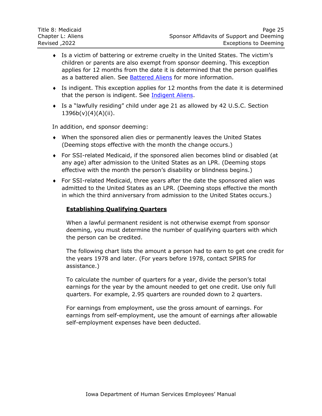- Is a victim of battering or extreme cruelty in the United States. The victim's children or parents are also exempt from sponsor deeming. This exception applies for 12 months from the date it is determined that the person qualifies as a battered alien. See [Battered Aliens](#page-32-0) for more information.
- Is indigent. This exception applies for 12 months from the date it is determined that the person is indigent. See [Indigent Aliens.](#page-34-0)
- Is a "lawfully residing" child under age 21 as allowed by 42 U.S.C. Section  $1396b(v)(4)(A)(ii)$ .

In addition, end sponsor deeming:

- When the sponsored alien dies or permanently leaves the United States (Deeming stops effective with the month the change occurs.)
- For SSI-related Medicaid, if the sponsored alien becomes blind or disabled (at any age) after admission to the United States as an LPR. (Deeming stops effective with the month the person's disability or blindness begins.)
- <span id="page-26-0"></span> For SSI-related Medicaid, three years after the date the sponsored alien was admitted to the United States as an LPR. (Deeming stops effective the month in which the third anniversary from admission to the United States occurs.)

#### **Establishing Qualifying Quarters**

When a lawful permanent resident is not otherwise exempt from sponsor deeming, you must determine the number of qualifying quarters with which the person can be credited.

The following chart lists the amount a person had to earn to get one credit for the years 1978 and later. (For years before 1978, contact SPIRS for assistance.)

To calculate the number of quarters for a year, divide the person's total earnings for the year by the amount needed to get one credit. Use only full quarters. For example, 2.95 quarters are rounded down to 2 quarters.

For earnings from employment, use the gross amount of earnings. For earnings from self-employment, use the amount of earnings after allowable self-employment expenses have been deducted.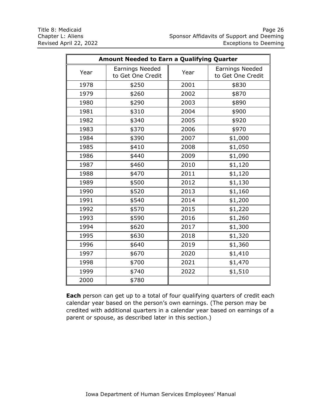| <b>Amount Needed to Earn a Qualifying Quarter</b> |                                      |      |                                             |
|---------------------------------------------------|--------------------------------------|------|---------------------------------------------|
| Year                                              | Earnings Needed<br>to Get One Credit | Year | <b>Earnings Needed</b><br>to Get One Credit |
| 1978                                              | \$250                                | 2001 | \$830                                       |
| 1979                                              | \$260                                | 2002 | \$870                                       |
| 1980                                              | \$290                                | 2003 | \$890                                       |
| 1981                                              | \$310                                | 2004 | \$900                                       |
| 1982                                              | \$340                                | 2005 | \$920                                       |
| 1983                                              | \$370                                | 2006 | \$970                                       |
| 1984                                              | \$390                                | 2007 | \$1,000                                     |
| 1985                                              | \$410                                | 2008 | \$1,050                                     |
| 1986                                              | \$440                                | 2009 | \$1,090                                     |
| 1987                                              | \$460                                | 2010 | \$1,120                                     |
| 1988                                              | \$470                                | 2011 | \$1,120                                     |
| 1989                                              | \$500                                | 2012 | \$1,130                                     |
| 1990                                              | \$520                                | 2013 | \$1,160                                     |
| 1991                                              | \$540                                | 2014 | \$1,200                                     |
| 1992                                              | \$570                                | 2015 | \$1,220                                     |
| 1993                                              | \$590                                | 2016 | \$1,260                                     |
| 1994                                              | \$620                                | 2017 | \$1,300                                     |
| 1995                                              | \$630                                | 2018 | \$1,320                                     |
| 1996                                              | \$640                                | 2019 | \$1,360                                     |
| 1997                                              | \$670                                | 2020 | \$1,410                                     |
| 1998                                              | \$700                                | 2021 | \$1,470                                     |
| 1999                                              | \$740                                | 2022 | \$1,510                                     |
| 2000                                              | \$780                                |      |                                             |

**Each** person can get up to a total of four qualifying quarters of credit each calendar year based on the person's own earnings. (The person may be credited with additional quarters in a calendar year based on earnings of a parent or spouse, as described later in this section.)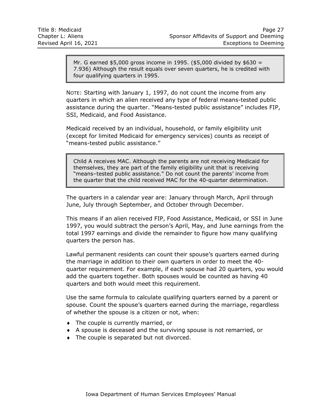Mr. G earned \$5,000 gross income in 1995. (\$5,000 divided by \$630 = 7.936) Although the result equals over seven quarters, he is credited with four qualifying quarters in 1995.

NOTE: Starting with January 1, 1997, do not count the income from any quarters in which an alien received any type of federal means-tested public assistance during the quarter. "Means-tested public assistance" includes FIP, SSI, Medicaid, and Food Assistance.

Medicaid received by an individual, household, or family eligibility unit (except for limited Medicaid for emergency services) counts as receipt of "means-tested public assistance."

Child A receives MAC. Although the parents are not receiving Medicaid for themselves, they are part of the family eligibility unit that is receiving "means–tested public assistance." Do not count the parents' income from the quarter that the child received MAC for the 40-quarter determination.

The quarters in a calendar year are: January through March, April through June, July through September, and October through December.

This means if an alien received FIP, Food Assistance, Medicaid, or SSI in June 1997, you would subtract the person's April, May, and June earnings from the total 1997 earnings and divide the remainder to figure how many qualifying quarters the person has.

Lawful permanent residents can count their spouse's quarters earned during the marriage in addition to their own quarters in order to meet the 40 quarter requirement. For example, if each spouse had 20 quarters, you would add the quarters together. Both spouses would be counted as having 40 quarters and both would meet this requirement.

Use the same formula to calculate qualifying quarters earned by a parent or spouse. Count the spouse's quarters earned during the marriage, regardless of whether the spouse is a citizen or not, when:

- The couple is currently married, or
- A spouse is deceased and the surviving spouse is not remarried, or
- The couple is separated but not divorced.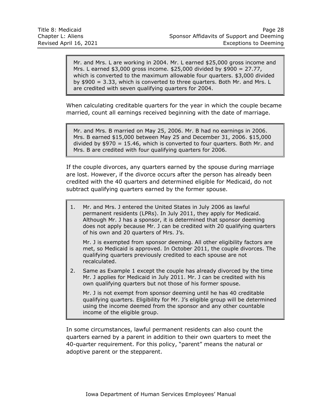Mr. and Mrs. L are working in 2004. Mr. L earned \$25,000 gross income and Mrs. L earned \$3,000 gross income. \$25,000 divided by \$900 = 27.77, which is converted to the maximum allowable four quarters. \$3,000 divided by \$900 = 3.33, which is converted to three quarters. Both Mr. and Mrs. L are credited with seven qualifying quarters for 2004.

When calculating creditable quarters for the year in which the couple became married, count all earnings received beginning with the date of marriage.

Mr. and Mrs. B married on May 25, 2006. Mr. B had no earnings in 2006. Mrs. B earned \$15,000 between May 25 and December 31, 2006. \$15,000 divided by  $$970 = 15.46$ , which is converted to four quarters. Both Mr. and Mrs. B are credited with four qualifying quarters for 2006.

If the couple divorces, any quarters earned by the spouse during marriage are lost. However, if the divorce occurs after the person has already been credited with the 40 quarters and determined eligible for Medicaid, do not subtract qualifying quarters earned by the former spouse.

1. Mr. and Mrs. J entered the United States in July 2006 as lawful permanent residents (LPRs). In July 2011, they apply for Medicaid. Although Mr. J has a sponsor, it is determined that sponsor deeming does not apply because Mr. J can be credited with 20 qualifying quarters of his own and 20 quarters of Mrs. J's.

Mr. J is exempted from sponsor deeming. All other eligibility factors are met, so Medicaid is approved. In October 2011, the couple divorces. The qualifying quarters previously credited to each spouse are not recalculated.

2. Same as Example 1 except the couple has already divorced by the time Mr. J applies for Medicaid in July 2011. Mr. J can be credited with his own qualifying quarters but not those of his former spouse.

Mr. J is not exempt from sponsor deeming until he has 40 creditable qualifying quarters. Eligibility for Mr. J's eligible group will be determined using the income deemed from the sponsor and any other countable income of the eligible group.

In some circumstances, lawful permanent residents can also count the quarters earned by a parent in addition to their own quarters to meet the 40-quarter requirement. For this policy, "parent" means the natural or adoptive parent or the stepparent.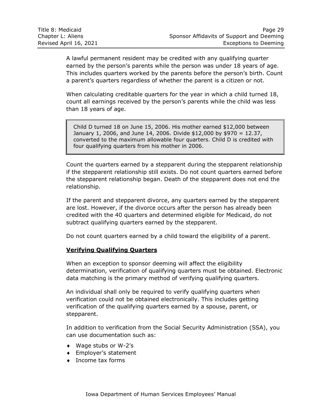A lawful permanent resident may be credited with any qualifying quarter earned by the person's parents while the person was under 18 years of age. This includes quarters worked by the parents before the person's birth. Count a parent's quarters regardless of whether the parent is a citizen or not.

When calculating creditable quarters for the year in which a child turned 18, count all earnings received by the person's parents while the child was less than 18 years of age.

Child D turned 18 on June 15, 2006. His mother earned \$12,000 between January 1, 2006, and June 14, 2006. Divide \$12,000 by \$970 = 12.37, converted to the maximum allowable four quarters. Child D is credited with four qualifying quarters from his mother in 2006.

Count the quarters earned by a stepparent during the stepparent relationship if the stepparent relationship still exists. Do not count quarters earned before the stepparent relationship began. Death of the stepparent does not end the relationship.

If the parent and stepparent divorce, any quarters earned by the stepparent are lost. However, if the divorce occurs after the person has already been credited with the 40 quarters and determined eligible for Medicaid, do not subtract qualifying quarters earned by the stepparent.

Do not count quarters earned by a child toward the eligibility of a parent.

## <span id="page-30-0"></span>**Verifying Qualifying Quarters**

When an exception to sponsor deeming will affect the eligibility determination, verification of qualifying quarters must be obtained. Electronic data matching is the primary method of verifying qualifying quarters.

An individual shall only be required to verify qualifying quarters when verification could not be obtained electronically. This includes getting verification of the qualifying quarters earned by a spouse, parent, or stepparent.

In addition to verification from the Social Security Administration (SSA), you can use documentation such as:

- Wage stubs or W-2's
- Employer's statement
- ◆ Income tax forms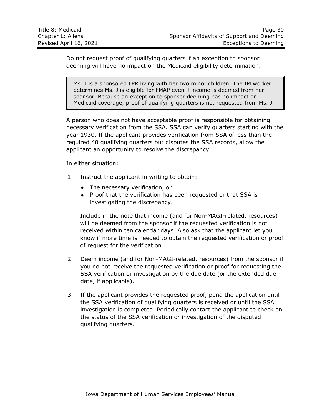Do not request proof of qualifying quarters if an exception to sponsor deeming will have no impact on the Medicaid eligibility determination.

Ms. J is a sponsored LPR living with her two minor children. The IM worker determines Ms. J is eligible for FMAP even if income is deemed from her sponsor. Because an exception to sponsor deeming has no impact on Medicaid coverage, proof of qualifying quarters is not requested from Ms. J.

A person who does not have acceptable proof is responsible for obtaining necessary verification from the SSA. SSA can verify quarters starting with the year 1930. If the applicant provides verification from SSA of less than the required 40 qualifying quarters but disputes the SSA records, allow the applicant an opportunity to resolve the discrepancy.

In either situation:

- 1. Instruct the applicant in writing to obtain:
	- The necessary verification, or
	- Proof that the verification has been requested or that SSA is investigating the discrepancy.

Include in the note that income (and for Non-MAGI-related, resources) will be deemed from the sponsor if the requested verification is not received within ten calendar days. Also ask that the applicant let you know if more time is needed to obtain the requested verification or proof of request for the verification.

- 2. Deem income (and for Non-MAGI-related, resources) from the sponsor if you do not receive the requested verification or proof for requesting the SSA verification or investigation by the due date (or the extended due date, if applicable).
- 3. If the applicant provides the requested proof, pend the application until the SSA verification of qualifying quarters is received or until the SSA investigation is completed. Periodically contact the applicant to check on the status of the SSA verification or investigation of the disputed qualifying quarters.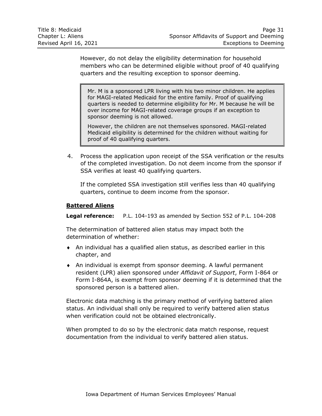However, do not delay the eligibility determination for household members who can be determined eligible without proof of 40 qualifying quarters and the resulting exception to sponsor deeming.

Mr. M is a sponsored LPR living with his two minor children. He applies for MAGI-related Medicaid for the entire family. Proof of qualifying quarters is needed to determine eligibility for Mr. M because he will be over income for MAGI-related coverage groups if an exception to sponsor deeming is not allowed.

However, the children are not themselves sponsored. MAGI-related Medicaid eligibility is determined for the children without waiting for proof of 40 qualifying quarters.

4. Process the application upon receipt of the SSA verification or the results of the completed investigation. Do not deem income from the sponsor if SSA verifies at least 40 qualifying quarters.

If the completed SSA investigation still verifies less than 40 qualifying quarters, continue to deem income from the sponsor.

#### <span id="page-32-0"></span>**Battered Aliens**

**Legal reference:** P.L. 104-193 as amended by Section 552 of P.L. 104-208

The determination of battered alien status may impact both the determination of whether:

- An individual has a qualified alien status, as described earlier in this chapter, and
- An individual is exempt from sponsor deeming. A lawful permanent resident (LPR) alien sponsored under *Affidavit of Support*, Form I-864 or Form I-864A, is exempt from sponsor deeming if it is determined that the sponsored person is a battered alien.

Electronic data matching is the primary method of verifying battered alien status. An individual shall only be required to verify battered alien status when verification could not be obtained electronically.

When prompted to do so by the electronic data match response, request documentation from the individual to verify battered alien status.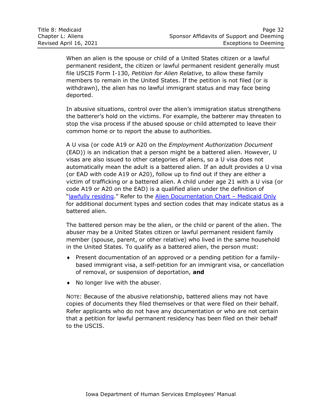| Title 8: Medicaid      | Page 32                                   |
|------------------------|-------------------------------------------|
| Chapter L: Aliens      | Sponsor Affidavits of Support and Deeming |
| Revised April 16, 2021 | Exceptions to Deeming                     |

When an alien is the spouse or child of a United States citizen or a lawful permanent resident, the citizen or lawful permanent resident generally must file USCIS Form I-130, *Petition for Alien Relative*, to allow these family members to remain in the United States. If the petition is not filed (or is withdrawn), the alien has no lawful immigrant status and may face being deported.

In abusive situations, control over the alien's immigration status strengthens the batterer's hold on the victims. For example, the batterer may threaten to stop the visa process if the abused spouse or child attempted to leave their common home or to report the abuse to authorities.

A U visa (or code A19 or A20 on the *Employment Authorization Document* (EAD)) is an indication that a person might be a battered alien. However, U visas are also issued to other categories of aliens, so a U visa does not automatically mean the adult is a battered alien. If an adult provides a U visa (or EAD with code A19 or A20), follow up to find out if they are either a victim of trafficking or a battered alien. A child under age 21 with a U visa (or code A19 or A20 on the EAD) is a qualified alien under the definition of "[lawfully residing](#page-5-0)." Refer to the [Alien Documentation Chart](http://dhssp/manual/subsite/Chapter3References/Alien%20Chart%20-%20Medicaid%20Only.xlsx) – Medicaid Only for additional document types and section codes that may indicate status as a battered alien.

The battered person may be the alien, or the child or parent of the alien. The abuser may be a United States citizen or lawful permanent resident family member (spouse, parent, or other relative) who lived in the same household in the United States. To qualify as a battered alien, the person must:

- Present documentation of an approved or a pending petition for a familybased immigrant visa, a self-petition for an immigrant visa, or cancellation of removal, or suspension of deportation, **and**
- No longer live with the abuser.

NOTE: Because of the abusive relationship, battered aliens may not have copies of documents they filed themselves or that were filed on their behalf. Refer applicants who do not have any documentation or who are not certain that a petition for lawful permanent residency has been filed on their behalf to the USCIS.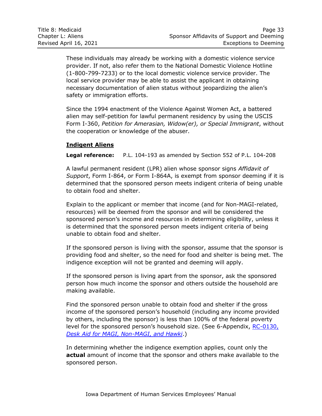These individuals may already be working with a domestic violence service provider. If not, also refer them to the National Domestic Violence Hotline (1-800-799-7233) or to the local domestic violence service provider. The local service provider may be able to assist the applicant in obtaining necessary documentation of alien status without jeopardizing the alien's safety or immigration efforts.

Since the 1994 enactment of the Violence Against Women Act, a battered alien may self-petition for lawful permanent residency by using the USCIS Form I-360, *Petition for Amerasian, Widow(er), or Special Immigrant*, without the cooperation or knowledge of the abuser.

## <span id="page-34-0"></span>**Indigent Aliens**

**Legal reference:** P.L. 104-193 as amended by Section 552 of P.L. 104-208

A lawful permanent resident (LPR) alien whose sponsor signs *Affidavit of Support*, Form I-864, or Form I-864A, is exempt from sponsor deeming if it is determined that the sponsored person meets indigent criteria of being unable to obtain food and shelter.

Explain to the applicant or member that income (and for Non-MAGI-related, resources) will be deemed from the sponsor and will be considered the sponsored person's income and resources in determining eligibility, unless it is determined that the sponsored person meets indigent criteria of being unable to obtain food and shelter.

If the sponsored person is living with the sponsor, assume that the sponsor is providing food and shelter, so the need for food and shelter is being met. The indigence exception will not be granted and deeming will apply.

If the sponsored person is living apart from the sponsor, ask the sponsored person how much income the sponsor and others outside the household are making available.

Find the sponsored person unable to obtain food and shelter if the gross income of the sponsored person's household (including any income provided by others, including the sponsor) is less than 100% of the federal poverty level for the sponsored person's household size. (See 6-Appendix, RC-0130, *Desk Aid [for MAGI, Non-MAGI, and Hawki](http://dhs.iowa.gov/sites/default/files/RC-0130.pdf)*.)

In determining whether the indigence exemption applies, count only the **actual** amount of income that the sponsor and others make available to the sponsored person.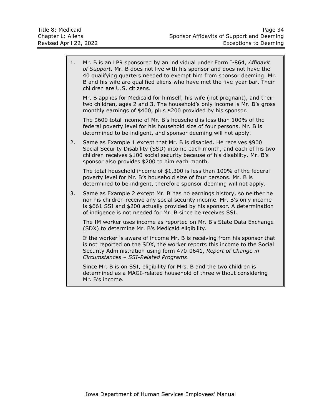| 1. | Mr. B is an LPR sponsored by an individual under Form I-864, Affidavit<br>of Support. Mr. B does not live with his sponsor and does not have the<br>40 qualifying quarters needed to exempt him from sponsor deeming. Mr.<br>B and his wife are qualified aliens who have met the five-year bar. Their<br>children are U.S. citizens. |
|----|---------------------------------------------------------------------------------------------------------------------------------------------------------------------------------------------------------------------------------------------------------------------------------------------------------------------------------------|
|    | Mr. B applies for Medicaid for himself, his wife (not pregnant), and their<br>two children, ages 2 and 3. The household's only income is Mr. B's gross<br>monthly earnings of \$400, plus \$200 provided by his sponsor.                                                                                                              |
|    | The \$600 total income of Mr. B's household is less than 100% of the<br>federal poverty level for his household size of four persons. Mr. B is<br>determined to be indigent, and sponsor deeming will not apply.                                                                                                                      |
| 2. | Same as Example 1 except that Mr. B is disabled. He receives \$900<br>Social Security Disability (SSD) income each month, and each of his two<br>children receives \$100 social security because of his disability. Mr. B's<br>sponsor also provides \$200 to him each month.                                                         |
|    | The total household income of \$1,300 is less than 100% of the federal<br>poverty level for Mr. B's household size of four persons. Mr. B is<br>determined to be indigent, therefore sponsor deeming will not apply.                                                                                                                  |
| 3. | Same as Example 2 except Mr. B has no earnings history, so neither he<br>nor his children receive any social security income. Mr. B's only income<br>is \$661 SSI and \$200 actually provided by his sponsor. A determination<br>of indigence is not needed for Mr. B since he receives SSI.                                          |
|    | The IM worker uses income as reported on Mr. B's State Data Exchange<br>(SDX) to determine Mr. B's Medicaid eligibility.                                                                                                                                                                                                              |
|    | If the worker is aware of income Mr. B is receiving from his sponsor that<br>is not reported on the SDX, the worker reports this income to the Social<br>Security Administration using form 470-0641, Report of Change in<br>Circumstances - SSI-Related Programs.                                                                    |
|    | Since Mr. B is on SSI, eligibility for Mrs. B and the two children is<br>determined as a MAGI-related household of three without considering<br>Mr. B's income.                                                                                                                                                                       |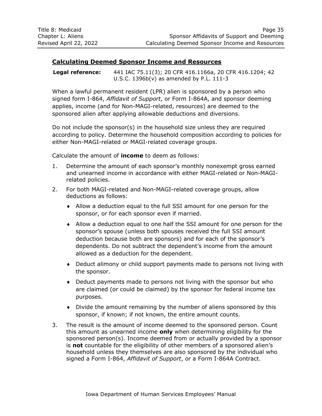## <span id="page-36-0"></span>**Calculating Deemed Sponsor Income and Resources**

**Legal reference:** 441 IAC 75.11(3); 20 CFR 416.1166a, 20 CFR 416.1204; 42 U.S.C. 1396b(v) as amended by P.L. 111-3

When a lawful permanent resident (LPR) alien is sponsored by a person who signed form I-864, *Affidavit of Support*, or Form I-864A, and sponsor deeming applies, income (and for Non-MAGI-related, resources) are deemed to the sponsored alien after applying allowable deductions and diversions.

Do not include the sponsor(s) in the household size unless they are required according to policy. Determine the household composition according to policies for either Non-MAGI-related or MAGI-related coverage groups.

Calculate the amount of **income** to deem as follows:

- 1. Determine the amount of each sponsor's monthly nonexempt gross earned and unearned income in accordance with either MAGI-related or Non-MAGIrelated policies.
- 2. For both MAGI-related and Non-MAGI-related coverage groups, allow deductions as follows:
	- Allow a deduction equal to the full SSI amount for one person for the sponsor, or for each sponsor even if married.
	- Allow a deduction equal to one half the SSI amount for one person for the sponsor's spouse (unless both spouses received the full SSI amount deduction because both are sponsors) and for each of the sponsor's dependents. Do not subtract the dependent's income from the amount allowed as a deduction for the dependent.
	- Deduct alimony or child support payments made to persons not living with the sponsor.
	- Deduct payments made to persons not living with the sponsor but who are claimed (or could be claimed) by the sponsor for federal income tax purposes.
	- Divide the amount remaining by the number of aliens sponsored by this sponsor, if known; if not known, the entire amount counts.
- 3. The result is the amount of income deemed to the sponsored person. Count this amount as unearned income **only** when determining eligibility for the sponsored person(s). Income deemed from or actually provided by a sponsor is **not** countable for the eligibility of other members of a sponsored alien's household unless they themselves are also sponsored by the individual who signed a Form I-864, *Affidavit of Support*, or a Form I-864A Contract.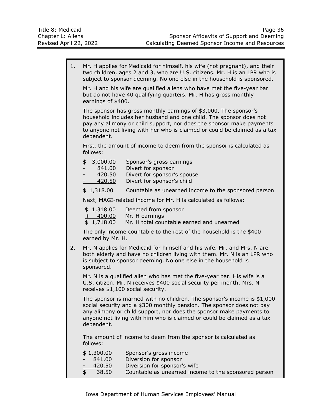| 1.                                                                                                                                                                                                                                                                                                               | Mr. H applies for Medicaid for himself, his wife (not pregnant), and their<br>two children, ages 2 and 3, who are U.S. citizens. Mr. H is an LPR who is<br>subject to sponsor deeming. No one else in the household is sponsored.                                                                                                                                                                                                                                            |                                                                                                                                                                                                                      |  |
|------------------------------------------------------------------------------------------------------------------------------------------------------------------------------------------------------------------------------------------------------------------------------------------------------------------|------------------------------------------------------------------------------------------------------------------------------------------------------------------------------------------------------------------------------------------------------------------------------------------------------------------------------------------------------------------------------------------------------------------------------------------------------------------------------|----------------------------------------------------------------------------------------------------------------------------------------------------------------------------------------------------------------------|--|
|                                                                                                                                                                                                                                                                                                                  | Mr. H and his wife are qualified aliens who have met the five-year bar<br>but do not have 40 qualifying quarters. Mr. H has gross monthly<br>earnings of \$400.<br>The sponsor has gross monthly earnings of \$3,000. The sponsor's<br>household includes her husband and one child. The sponsor does not<br>pay any alimony or child support, nor does the sponsor make payments<br>to anyone not living with her who is claimed or could be claimed as a tax<br>dependent. |                                                                                                                                                                                                                      |  |
|                                                                                                                                                                                                                                                                                                                  |                                                                                                                                                                                                                                                                                                                                                                                                                                                                              |                                                                                                                                                                                                                      |  |
|                                                                                                                                                                                                                                                                                                                  | follows:                                                                                                                                                                                                                                                                                                                                                                                                                                                                     | First, the amount of income to deem from the sponsor is calculated as                                                                                                                                                |  |
|                                                                                                                                                                                                                                                                                                                  | \$<br>3,000.00<br>841.00<br>-<br>420.50<br>420.50                                                                                                                                                                                                                                                                                                                                                                                                                            | Sponsor's gross earnings<br>Divert for sponsor<br>Divert for sponsor's spouse<br>Divert for sponsor's child                                                                                                          |  |
|                                                                                                                                                                                                                                                                                                                  | \$1,318.00                                                                                                                                                                                                                                                                                                                                                                                                                                                                   | Countable as unearned income to the sponsored person                                                                                                                                                                 |  |
|                                                                                                                                                                                                                                                                                                                  |                                                                                                                                                                                                                                                                                                                                                                                                                                                                              | Next, MAGI-related income for Mr. H is calculated as follows:                                                                                                                                                        |  |
|                                                                                                                                                                                                                                                                                                                  | \$1,318.00<br>$+ 400.00$<br>\$1,718.00                                                                                                                                                                                                                                                                                                                                                                                                                                       | Deemed from sponsor<br>Mr. H earnings<br>Mr. H total countable earned and unearned                                                                                                                                   |  |
|                                                                                                                                                                                                                                                                                                                  | earned by Mr. H.                                                                                                                                                                                                                                                                                                                                                                                                                                                             | The only income countable to the rest of the household is the \$400                                                                                                                                                  |  |
| 2.                                                                                                                                                                                                                                                                                                               | sponsored.                                                                                                                                                                                                                                                                                                                                                                                                                                                                   | Mr. N applies for Medicaid for himself and his wife. Mr. and Mrs. N are<br>both elderly and have no children living with them. Mr. N is an LPR who<br>is subject to sponsor deeming. No one else in the household is |  |
|                                                                                                                                                                                                                                                                                                                  |                                                                                                                                                                                                                                                                                                                                                                                                                                                                              | Mr. N is a qualified alien who has met the five-year bar. His wife is a<br>U.S. citizen. Mr. N receives \$400 social security per month. Mrs. N<br>receives \$1,100 social security.                                 |  |
| The sponsor is married with no children. The sponsor's income is \$1,000<br>social security and a \$300 monthly pension. The sponsor does not pay<br>any alimony or child support, nor does the sponsor make payments to<br>anyone not living with him who is claimed or could be claimed as a tax<br>dependent. |                                                                                                                                                                                                                                                                                                                                                                                                                                                                              |                                                                                                                                                                                                                      |  |
|                                                                                                                                                                                                                                                                                                                  | follows:                                                                                                                                                                                                                                                                                                                                                                                                                                                                     | The amount of income to deem from the sponsor is calculated as                                                                                                                                                       |  |
|                                                                                                                                                                                                                                                                                                                  | \$1,300.00<br>841.00<br>420.50<br>\$<br>38.50                                                                                                                                                                                                                                                                                                                                                                                                                                | Sponsor's gross income<br>Diversion for sponsor<br>Diversion for sponsor's wife<br>Countable as unearned income to the sponsored person                                                                              |  |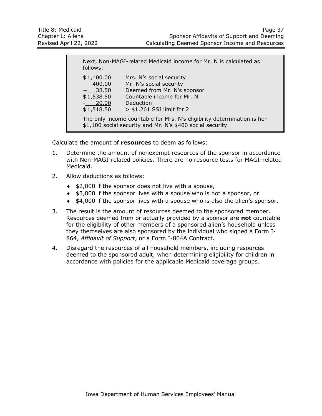Next, Non-MAGI-related Medicaid income for Mr. N is calculated as follows: \$ 1,100.00 Mrs. N's social security + 400.00 Mr. N's social security + 38.50 Deemed from Mr. N's sponsor \$ 1,538.50 Countable income for Mr. N - 20.00 Deduction \$ 1,518.50 > \$1,261 SSI limit for 2 The only income countable for Mrs. N's eligibility determination is her \$1,100 social security and Mr. N's \$400 social security.

Calculate the amount of **resources** to deem as follows:

- 1. Determine the amount of nonexempt resources of the sponsor in accordance with Non-MAGI-related policies. There are no resource tests for MAGI-related Medicaid.
- 2. Allow deductions as follows:
	- $\div$  \$2,000 if the sponsor does not live with a spouse,
	- $\div$  \$3,000 if the sponsor lives with a spouse who is not a sponsor, or
	- $\bullet$  \$4,000 if the sponsor lives with a spouse who is also the alien's sponsor.
- 3. The result is the amount of resources deemed to the sponsored member. Resources deemed from or actually provided by a sponsor are **not** countable for the eligibility of other members of a sponsored alien's household unless they themselves are also sponsored by the individual who signed a Form I-864, *Affidavit of Support*, or a Form I-864A Contract.
- 4. Disregard the resources of all household members, including resources deemed to the sponsored adult, when determining eligibility for children in accordance with policies for the applicable Medicaid coverage groups.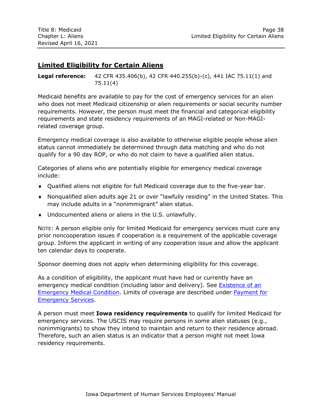# <span id="page-39-0"></span>**Limited Eligibility for Certain Aliens**

**Legal reference:** 42 CFR 435.406(b), 42 CFR 440.255(b)-(c), 441 IAC 75.11(1) and 75.11(4)

Medicaid benefits are available to pay for the cost of emergency services for an alien who does not meet Medicaid citizenship or alien requirements or social security number requirements. However, the person must meet the financial and categorical eligibility requirements and state residency requirements of an MAGI-related or Non-MAGIrelated coverage group.

Emergency medical coverage is also available to otherwise eligible people whose alien status cannot immediately be determined through data matching and who do not qualify for a 90 day ROP, or who do not claim to have a qualified alien status.

Categories of aliens who are potentially eligible for emergency medical coverage include:

- Qualified aliens not eligible for full Medicaid coverage due to the five-year bar.
- Nonqualified alien adults age 21 or over "lawfully residing" in the United States. This may include adults in a "nonimmigrant" alien status.
- Undocumented aliens or aliens in the U.S. unlawfully.

NOTE: A person eligible only for limited Medicaid for emergency services must cure any prior noncooperation issues if cooperation is a requirement of the applicable coverage group. Inform the applicant in writing of any cooperation issue and allow the applicant ten calendar days to cooperate.

Sponsor deeming does not apply when determining eligibility for this coverage.

As a condition of eligibility, the applicant must have had or currently have an emergency medical condition (including labor and delivery). See [Existence of an](#page-41-0) [Emergency Medical Condition.](#page-41-0) Limits of coverage are described under [Payment for](#page-42-0)  [Emergency Services.](#page-42-0)

A person must meet **Iowa residency requirements** to qualify for limited Medicaid for emergency services. The USCIS may require persons in some alien statuses (e.g., nonimmigrants) to show they intend to maintain and return to their residence abroad. Therefore, such an alien status is an indicator that a person might not meet Iowa residency requirements.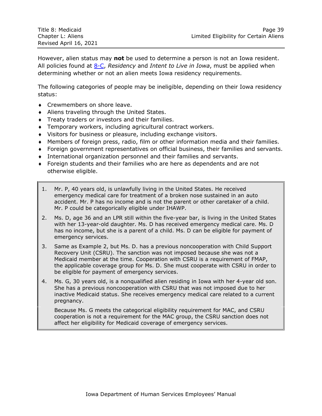| Title 8: Medicaid      | Page 39                                |
|------------------------|----------------------------------------|
| Chapter L: Aliens      | Limited Eligibility for Certain Aliens |
| Revised April 16, 2021 |                                        |

However, alien status may **not** be used to determine a person is not an Iowa resident. All policies found at [8-C,](http://dhs.iowa.gov/sites/default/files/8-C.pdf) *Residency* and *Intent to Live in Iowa*, must be applied when determining whether or not an alien meets Iowa residency requirements.

The following categories of people may be ineligible, depending on their Iowa residency status:

- **Crewmembers on shore leave.**
- Aliens traveling through the United States.
- **Treaty traders or investors and their families.**
- Temporary workers, including agricultural contract workers.
- Visitors for business or pleasure, including exchange visitors.
- Members of foreign press, radio, film or other information media and their families.
- Foreign government representatives on official business, their families and servants.
- International organization personnel and their families and servants.
- Foreign students and their families who are here as dependents and are not otherwise eligible.
- 1. Mr. P, 40 years old, is unlawfully living in the United States. He received emergency medical care for treatment of a broken nose sustained in an auto accident. Mr. P has no income and is not the parent or other caretaker of a child. Mr. P could be categorically eligible under IHAWP.
- 2. Ms. D, age 36 and an LPR still within the five-year bar, is living in the United States with her 13-year-old daughter. Ms. D has received emergency medical care. Ms. D has no income, but she is a parent of a child. Ms. D can be eligible for payment of emergency services.
- 3. Same as Example 2, but Ms. D. has a previous noncooperation with Child Support Recovery Unit (CSRU). The sanction was not imposed because she was not a Medicaid member at the time. Cooperation with CSRU is a requirement of FMAP, the applicable coverage group for Ms. D. She must cooperate with CSRU in order to be eligible for payment of emergency services.
- 4. Ms. G, 30 years old, is a nonqualified alien residing in Iowa with her 4-year old son. She has a previous noncooperation with CSRU that was not imposed due to her inactive Medicaid status. She receives emergency medical care related to a current pregnancy.

Because Ms. G meets the categorical eligibility requirement for MAC, and CSRU cooperation is not a requirement for the MAC group, the CSRU sanction does not affect her eligibility for Medicaid coverage of emergency services.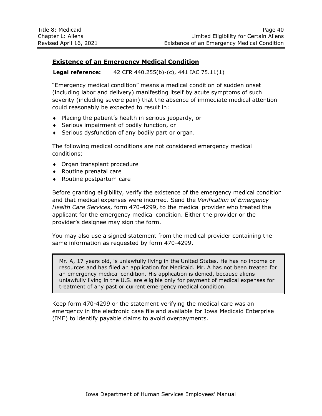# <span id="page-41-0"></span>**Existence of an Emergency Medical Condition**

**Legal reference:** 42 CFR 440.255(b)-(c), 441 IAC 75.11(1)

"Emergency medical condition" means a medical condition of sudden onset (including labor and delivery) manifesting itself by acute symptoms of such severity (including severe pain) that the absence of immediate medical attention could reasonably be expected to result in:

- $\bullet$  Placing the patient's health in serious jeopardy, or
- Serious impairment of bodily function, or
- Serious dysfunction of any bodily part or organ.

The following medical conditions are not considered emergency medical conditions:

- Organ transplant procedure
- Routine prenatal care
- ◆ Routine postpartum care

Before granting eligibility, verify the existence of the emergency medical condition and that medical expenses were incurred. Send the *Verification of Emergency Health Care Services*, form 470-4299, to the medical provider who treated the applicant for the emergency medical condition. Either the provider or the provider's designee may sign the form.

You may also use a signed statement from the medical provider containing the same information as requested by form 470-4299.

Mr. A, 17 years old, is unlawfully living in the United States. He has no income or resources and has filed an application for Medicaid. Mr. A has not been treated for an emergency medical condition. His application is denied, because aliens unlawfully living in the U.S. are eligible only for payment of medical expenses for treatment of any past or current emergency medical condition.

Keep form 470-4299 or the statement verifying the medical care was an emergency in the electronic case file and available for Iowa Medicaid Enterprise (IME) to identify payable claims to avoid overpayments.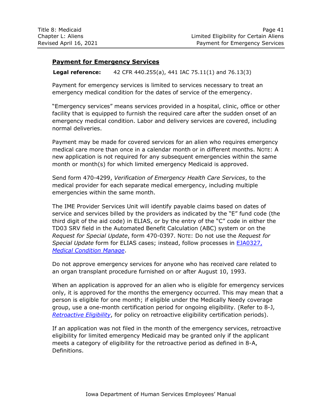# <span id="page-42-0"></span>**Payment for Emergency Services**

**Legal reference:** 42 CFR 440.255(a), 441 IAC 75.11(1) and 76.13(3)

Payment for emergency services is limited to services necessary to treat an emergency medical condition for the dates of service of the emergency.

"Emergency services" means services provided in a hospital, clinic, office or other facility that is equipped to furnish the required care after the sudden onset of an emergency medical condition. Labor and delivery services are covered, including normal deliveries.

Payment may be made for covered services for an alien who requires emergency medical care more than once in a calendar month or in different months. NOTE: A new application is not required for any subsequent emergencies within the same month or month(s) for which limited emergency Medicaid is approved.

Send form 470-4299, *Verification of Emergency Health Care Services*, to the medical provider for each separate medical emergency, including multiple emergencies within the same month.

The IME Provider Services Unit will identify payable claims based on dates of service and services billed by the providers as indicated by the "E" fund code (the third digit of the aid code) in ELIAS, or by the entry of the "C" code in either the TD03 SRV field in the Automated Benefit Calculation (ABC) system or on the *Request for Special Update*, form 470-0397. NOTE: Do not use the *Request for Special Update* form for ELIAS cases; instead, follow processes in [EJA0327,](http://dhssp/manual/JobAids/Chapter3JobAids/EJA0327_Medical_Condition_Detail_Manage.pdf) *[Medical Condition Manage](http://dhssp/manual/JobAids/Chapter3JobAids/EJA0327_Medical_Condition_Detail_Manage.pdf)*.

Do not approve emergency services for anyone who has received care related to an organ transplant procedure furnished on or after August 10, 1993.

When an application is approved for an alien who is eligible for emergency services only, it is approved for the months the emergency occurred. This may mean that a person is eligible for one month; if eligible under the Medically Needy coverage group, use a one-month certification period for ongoing eligibility. (Refer to 8-J, *[Retroactive Eligibility](http://dhs.iowa.gov/sites/default/files/8-J.pdf)*, for policy on retroactive eligibility certification periods).

If an application was not filed in the month of the emergency services, retroactive eligibility for limited emergency Medicaid may be granted only if the applicant meets a category of eligibility for the retroactive period as defined in 8-A, Definitions.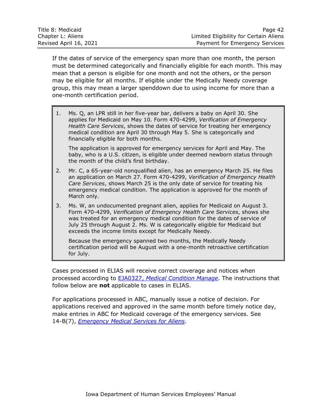| Title 8: Medicaid      | Page 42                                |
|------------------------|----------------------------------------|
| Chapter L: Aliens      | Limited Eligibility for Certain Aliens |
| Revised April 16, 2021 | Payment for Emergency Services         |

If the dates of service of the emergency span more than one month, the person must be determined categorically and financially eligible for each month. This may mean that a person is eligible for one month and not the others, or the person may be eligible for all months. If eligible under the Medically Needy coverage group, this may mean a larger spenddown due to using income for more than a one-month certification period.

1. Ms. Q, an LPR still in her five-year bar, delivers a baby on April 30. She applies for Medicaid on May 10. Form 470-4299, *Verification of Emergency Health Care Services*, shows the dates of service for treating her emergency medical condition are April 30 through May 5. She is categorically and financially eligible for both months.

The application is approved for emergency services for April and May. The baby, who is a U.S. citizen, is eligible under deemed newborn status through the month of the child's first birthday.

- 2. Mr. C, a 65-year-old nonqualified alien, has an emergency March 25. He files an application on March 27. Form 470-4299, *Verification of Emergency Health Care Services*, shows March 25 is the only date of service for treating his emergency medical condition. The application is approved for the month of March only.
- 3. Ms. W, an undocumented pregnant alien, applies for Medicaid on August 3. Form 470-4299, *Verification of Emergency Health Care Services*, shows she was treated for an emergency medical condition for the dates of service of July 25 through August 2. Ms. W is categorically eligible for Medicaid but exceeds the income limits except for Medically Needy.

Because the emergency spanned two months, the Medically Needy certification period will be August with a one-month retroactive certification for July.

Cases processed in ELIAS will receive correct coverage and notices when processed according to EJA0327, *[Medical Condition Manage](http://dhssp/manual/JobAids/Chapter3JobAids/EJA0327_Medical_Condition_Detail_Manage.pdf)*. The instructions that follow below are **not** applicable to cases in ELIAS.

For applications processed in ABC, manually issue a notice of decision. For applications received and approved in the same month before timely notice day, make entries in ABC for Medicaid coverage of the emergency services. See 14-B(7), *[Emergency Medical Services](http://dhs.iowa.gov/sites/default/files/14-B7.pdf) for Aliens*.